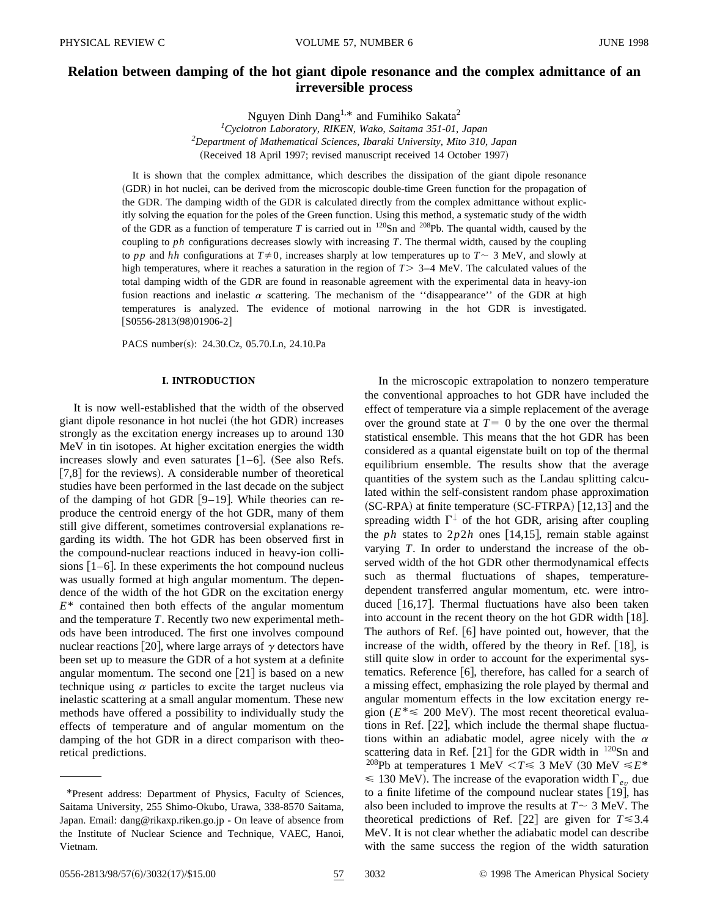# **Relation between damping of the hot giant dipole resonance and the complex admittance of an irreversible process**

Nguyen Dinh Dang<sup>1,\*</sup> and Fumihiko Sakata<sup>2</sup>

*1 Cyclotron Laboratory, RIKEN, Wako, Saitama 351-01, Japan 2 Department of Mathematical Sciences, Ibaraki University, Mito 310, Japan* (Received 18 April 1997; revised manuscript received 14 October 1997)

It is shown that the complex admittance, which describes the dissipation of the giant dipole resonance (GDR) in hot nuclei, can be derived from the microscopic double-time Green function for the propagation of the GDR. The damping width of the GDR is calculated directly from the complex admittance without explicitly solving the equation for the poles of the Green function. Using this method, a systematic study of the width of the GDR as a function of temperature *T* is carried out in 120Sn and 208Pb. The quantal width, caused by the coupling to *ph* configurations decreases slowly with increasing *T*. The thermal width, caused by the coupling to *pp* and *hh* configurations at  $T \neq 0$ , increases sharply at low temperatures up to  $T \sim 3$  MeV, and slowly at high temperatures, where it reaches a saturation in the region of  $T > 3-4$  MeV. The calculated values of the total damping width of the GDR are found in reasonable agreement with the experimental data in heavy-ion fusion reactions and inelastic  $\alpha$  scattering. The mechanism of the ''disappearance'' of the GDR at high temperatures is analyzed. The evidence of motional narrowing in the hot GDR is investigated.  $[$ S0556-2813(98)01906-2]

PACS number(s): 24.30.Cz, 05.70.Ln, 24.10.Pa

### **I. INTRODUCTION**

It is now well-established that the width of the observed giant dipole resonance in hot nuclei (the hot GDR) increases strongly as the excitation energy increases up to around 130 MeV in tin isotopes. At higher excitation energies the width increases slowly and even saturates  $[1-6]$ . (See also Refs.  $[7,8]$  for the reviews). A considerable number of theoretical studies have been performed in the last decade on the subject of the damping of hot GDR  $[9-19]$ . While theories can reproduce the centroid energy of the hot GDR, many of them still give different, sometimes controversial explanations regarding its width. The hot GDR has been observed first in the compound-nuclear reactions induced in heavy-ion collisions  $[1–6]$ . In these experiments the hot compound nucleus was usually formed at high angular momentum. The dependence of the width of the hot GDR on the excitation energy *E*\* contained then both effects of the angular momentum and the temperature *T*. Recently two new experimental methods have been introduced. The first one involves compound nuclear reactions [20], where large arrays of  $\gamma$  detectors have been set up to measure the GDR of a hot system at a definite angular momentum. The second one  $[21]$  is based on a new technique using  $\alpha$  particles to excite the target nucleus via inelastic scattering at a small angular momentum. These new methods have offered a possibility to individually study the effects of temperature and of angular momentum on the damping of the hot GDR in a direct comparison with theoretical predictions.

In the microscopic extrapolation to nonzero temperature the conventional approaches to hot GDR have included the effect of temperature via a simple replacement of the average over the ground state at  $T=0$  by the one over the thermal statistical ensemble. This means that the hot GDR has been considered as a quantal eigenstate built on top of the thermal equilibrium ensemble. The results show that the average quantities of the system such as the Landau splitting calculated within the self-consistent random phase approximation  $SC-RPA$ ) at finite temperature  $SC-FFRPA$  [12,13] and the spreading width  $\Gamma^{\downarrow}$  of the hot GDR, arising after coupling the *ph* states to  $2p2h$  ones [14,15], remain stable against varying *T*. In order to understand the increase of the observed width of the hot GDR other thermodynamical effects such as thermal fluctuations of shapes, temperaturedependent transferred angular momentum, etc. were introduced  $[16,17]$ . Thermal fluctuations have also been taken into account in the recent theory on the hot GDR width  $[18]$ . The authors of Ref.  $[6]$  have pointed out, however, that the increase of the width, offered by the theory in Ref.  $[18]$ , is still quite slow in order to account for the experimental systematics. Reference  $[6]$ , therefore, has called for a search of a missing effect, emphasizing the role played by thermal and angular momentum effects in the low excitation energy region ( $E^* \le 200$  MeV). The most recent theoretical evaluations in Ref.  $[22]$ , which include the thermal shape fluctuations within an adiabatic model, agree nicely with the  $\alpha$ scattering data in Ref. [21] for the GDR width in  $120\text{Sn}$  and <sup>208</sup>Pb at temperatures 1 MeV < $T \le 3$  MeV (30 MeV  $\le E^*$ )  $\leq$  130 MeV). The increase of the evaporation width  $\Gamma_{ev}$  due to a finite lifetime of the compound nuclear states  $[19]$ , has also been included to improve the results at  $T \sim 3$  MeV. The theoretical predictions of Ref. [22] are given for  $T \le 3.4$ MeV. It is not clear whether the adiabatic model can describe with the same success the region of the width saturation

<sup>\*</sup>Present address: Department of Physics, Faculty of Sciences, Saitama University, 255 Shimo-Okubo, Urawa, 338-8570 Saitama, Japan. Email: dang@rikaxp.riken.go.jp - On leave of absence from the Institute of Nuclear Science and Technique, VAEC, Hanoi, Vietnam.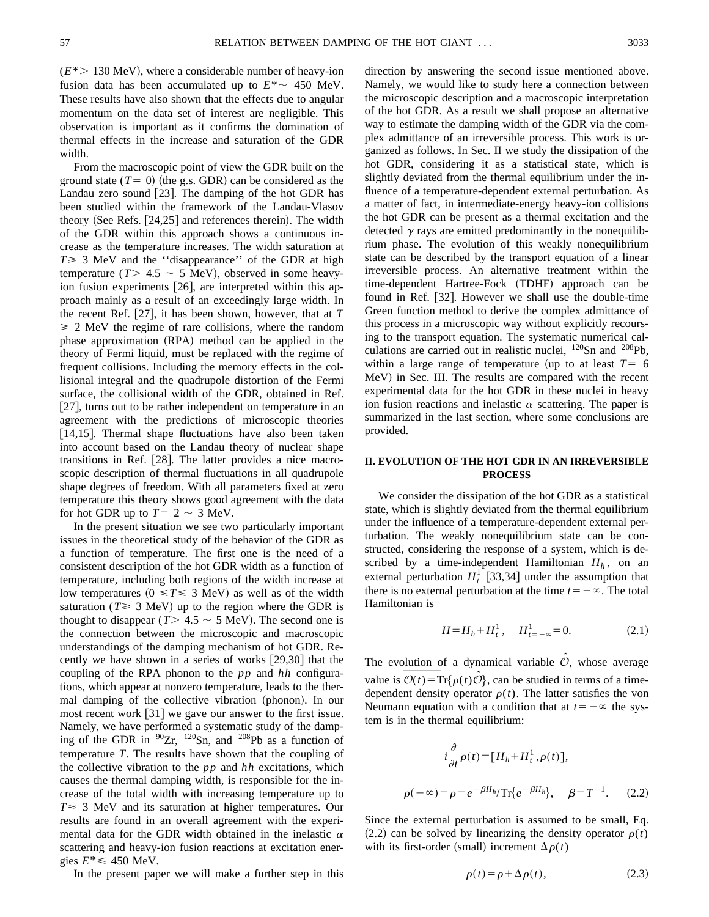$(E^*$  130 MeV), where a considerable number of heavy-ion fusion data has been accumulated up to  $E^* \sim 450$  MeV. These results have also shown that the effects due to angular momentum on the data set of interest are negligible. This observation is important as it confirms the domination of thermal effects in the increase and saturation of the GDR width.

From the macroscopic point of view the GDR built on the ground state  $(T=0)$  (the g.s. GDR) can be considered as the Landau zero sound  $[23]$ . The damping of the hot GDR has been studied within the framework of the Landau-Vlasov theory (See Refs.  $[24,25]$  and references therein). The width of the GDR within this approach shows a continuous increase as the temperature increases. The width saturation at  $T \geq 3$  MeV and the "disappearance" of the GDR at high temperature ( $T$  > 4.5  $\sim$  5 MeV), observed in some heavyion fusion experiments  $[26]$ , are interpreted within this approach mainly as a result of an exceedingly large width. In the recent Ref.  $\left|27\right|$ , it has been shown, however, that at *T*  $\geq 2$  MeV the regime of rare collisions, where the random phase approximation (RPA) method can be applied in the theory of Fermi liquid, must be replaced with the regime of frequent collisions. Including the memory effects in the collisional integral and the quadrupole distortion of the Fermi surface, the collisional width of the GDR, obtained in Ref.  $[27]$ , turns out to be rather independent on temperature in an agreement with the predictions of microscopic theories [14,15]. Thermal shape fluctuations have also been taken into account based on the Landau theory of nuclear shape transitions in Ref. [28]. The latter provides a nice macroscopic description of thermal fluctuations in all quadrupole shape degrees of freedom. With all parameters fixed at zero temperature this theory shows good agreement with the data for hot GDR up to  $T= 2 \sim 3$  MeV.

In the present situation we see two particularly important issues in the theoretical study of the behavior of the GDR as a function of temperature. The first one is the need of a consistent description of the hot GDR width as a function of temperature, including both regions of the width increase at low temperatures ( $0 \le T \le 3$  MeV) as well as of the width saturation ( $T \ge 3$  MeV) up to the region where the GDR is thought to disappear ( $T > 4.5 \sim 5$  MeV). The second one is the connection between the microscopic and macroscopic understandings of the damping mechanism of hot GDR. Recently we have shown in a series of works  $[29,30]$  that the coupling of the RPA phonon to the *pp* and *hh* configurations, which appear at nonzero temperature, leads to the thermal damping of the collective vibration (phonon). In our most recent work  $[31]$  we gave our answer to the first issue. Namely, we have performed a systematic study of the damping of the GDR in  $90Zr$ ,  $120Sn$ , and  $208Pb$  as a function of temperature *T*. The results have shown that the coupling of the collective vibration to the *pp* and *hh* excitations, which causes the thermal damping width, is responsible for the increase of the total width with increasing temperature up to  $T \approx 3$  MeV and its saturation at higher temperatures. Our results are found in an overall agreement with the experimental data for the GDR width obtained in the inelastic  $\alpha$ scattering and heavy-ion fusion reactions at excitation energies  $E^* \leq 450$  MeV.

In the present paper we will make a further step in this

direction by answering the second issue mentioned above. Namely, we would like to study here a connection between the microscopic description and a macroscopic interpretation of the hot GDR. As a result we shall propose an alternative way to estimate the damping width of the GDR via the complex admittance of an irreversible process. This work is organized as follows. In Sec. II we study the dissipation of the hot GDR, considering it as a statistical state, which is slightly deviated from the thermal equilibrium under the influence of a temperature-dependent external perturbation. As a matter of fact, in intermediate-energy heavy-ion collisions the hot GDR can be present as a thermal excitation and the detected  $\gamma$  rays are emitted predominantly in the nonequilibrium phase. The evolution of this weakly nonequilibrium state can be described by the transport equation of a linear irreversible process. An alternative treatment within the time-dependent Hartree-Fock (TDHF) approach can be found in Ref.  $[32]$ . However we shall use the double-time Green function method to derive the complex admittance of this process in a microscopic way without explicitly recoursing to the transport equation. The systematic numerical calculations are carried out in realistic nuclei, <sup>120</sup>Sn and <sup>208</sup>Pb, within a large range of temperature (up to at least  $T=6$ MeV) in Sec. III. The results are compared with the recent experimental data for the hot GDR in these nuclei in heavy ion fusion reactions and inelastic  $\alpha$  scattering. The paper is summarized in the last section, where some conclusions are provided.

#### **II. EVOLUTION OF THE HOT GDR IN AN IRREVERSIBLE PROCESS**

We consider the dissipation of the hot GDR as a statistical state, which is slightly deviated from the thermal equilibrium under the influence of a temperature-dependent external perturbation. The weakly nonequilibrium state can be constructed, considering the response of a system, which is described by a time-independent Hamiltonian  $H_h$ , on an external perturbation  $H_t^1$  [33,34] under the assumption that there is no external perturbation at the time  $t=-\infty$ . The total Hamiltonian is

$$
H = H_h + H_t^1, \quad H_{t = -\infty}^1 = 0.
$$
 (2.1)

The evolution of a dynamical variable  $\hat{\mathcal{O}}$ , whose average The evolution The evolution value is  $\overline{\mathcal{O}(t)}$ value is  $\mathcal{O}(t) = \text{Tr}\{\rho(t)\mathcal{O}\}\text{, can be studied in terms of a time-}$ dependent density operator  $\rho(t)$ . The latter satisfies the von Neumann equation with a condition that at  $t=-\infty$  the system is in the thermal equilibrium:

$$
i\frac{\partial}{\partial t}\rho(t) = [H_h + H_t^1, \rho(t)],
$$
  

$$
\rho(-\infty) = \rho = e^{-\beta H_h} \text{Tr}\{e^{-\beta H_h}\}, \quad \beta = T^{-1}.
$$
 (2.2)

Since the external perturbation is assumed to be small, Eq.  $(2.2)$  can be solved by linearizing the density operator  $\rho(t)$ with its first-order (small) increment  $\Delta \rho(t)$ 

$$
\rho(t) = \rho + \Delta \rho(t),\tag{2.3}
$$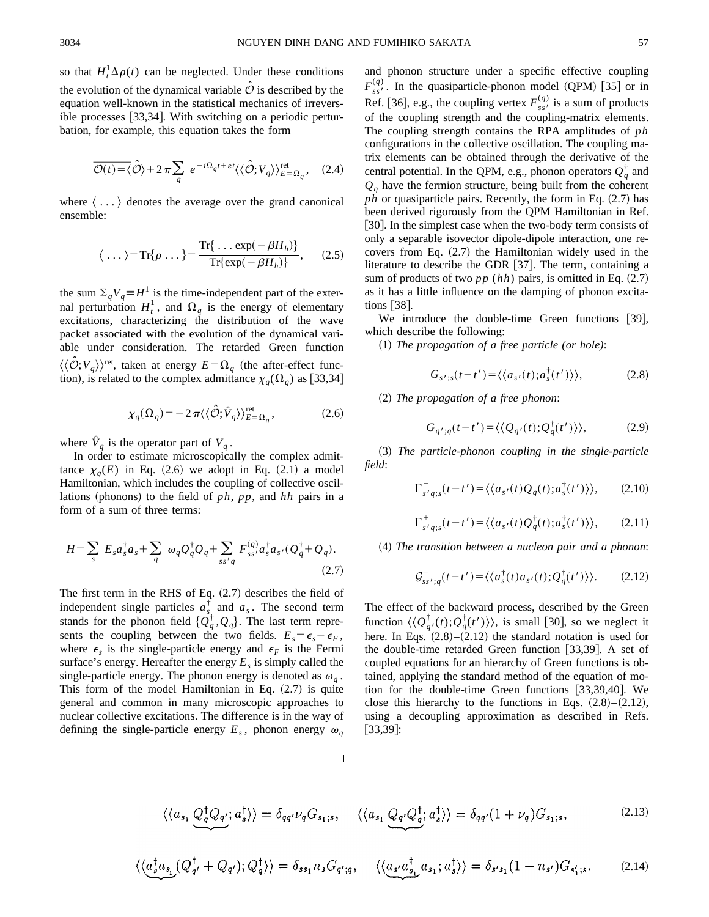so that  $H_t^1 \Delta \rho(t)$  can be neglected. Under these conditions the evolution of the dynamical variable  $\hat{\mathcal{O}}$  is described by the equation well-known in the statistical mechanics of irreversible processes  $[33,34]$ . With switching on a periodic perturbation, for example, this equation takes the form

processes [33,34]. With switching on a periodic pertur-  
, for example, this equation takes the form  

$$
\overline{\mathcal{O}(t)} = \langle \hat{\mathcal{O}} \rangle + 2 \pi \sum_{q} e^{-i\Omega_{q}t + \varepsilon t} \langle \langle \hat{\mathcal{O}}; V_{q} \rangle \rangle_{E = \Omega_{q}}^{\text{ret}}, \quad (2.4)
$$

where  $\langle \ldots \rangle$  denotes the average over the grand canonical ensemble:

$$
\langle \dots \rangle = \text{Tr}\{\rho \dots\} = \frac{\text{Tr}\{\dots \exp(-\beta H_h)\}}{\text{Tr}\{\exp(-\beta H_h)\}}, \quad (2.5)
$$

the sum  $\sum_{q}V_{q} \equiv H^{1}$  is the time-independent part of the external perturbation  $H_t^1$ , and  $\Omega_q$  is the energy of elementary excitations, characterizing the distribution of the wave packet associated with the evolution of the dynamical variable under consideration. The retarded Green function  $\langle \langle \mathcal{O}; V_q \rangle \rangle^{\text{ret}}$ , taken at energy  $E = \Omega_q$  (the after-effect function), is related to the complex admittance  $\chi_q(\Omega_q)$  as [33,34]

$$
\chi_q(\Omega_q) = -2\,\pi \langle \langle \hat{\mathcal{O}}; \hat{V}_q \rangle \rangle_{E=\Omega_q}^{\text{ret}},\tag{2.6}
$$

where  $V_q$  is the operator part of  $V_q$ .

In order to estimate microscopically the complex admittance  $\chi_q(E)$  in Eq.  $(2.6)$  we adopt in Eq.  $(2.1)$  a model Hamiltonian, which includes the coupling of collective oscillations (phonons) to the field of *ph*, *pp*, and *hh* pairs in a form of a sum of three terms:

$$
H = \sum_{s} E_{s} a_{s}^{\dagger} a_{s} + \sum_{q} \omega_{q} Q_{q}^{\dagger} Q_{q} + \sum_{ss'q} F_{ss'}^{(q)} a_{s}^{\dagger} a_{s'} (Q_{q}^{\dagger} + Q_{q}).
$$
\n(2.7)

The first term in the RHS of Eq.  $(2.7)$  describes the field of independent single particles  $a_{s}^{\dagger}$  and  $a_{s}$ . The second term stands for the phonon field  $\{Q_q^{\dagger}, Q_q\}$ . The last term represents the coupling between the two fields.  $E_s = \epsilon_s - \epsilon_F$ , where  $\epsilon_s$  is the single-particle energy and  $\epsilon_F$  is the Fermi surface's energy. Hereafter the energy  $E<sub>s</sub>$  is simply called the single-particle energy. The phonon energy is denoted as  $\omega_a$ . This form of the model Hamiltonian in Eq.  $(2.7)$  is quite general and common in many microscopic approaches to nuclear collective excitations. The difference is in the way of defining the single-particle energy  $E_s$ , phonon energy  $\omega_a$ 

and phonon structure under a specific effective coupling  $F_{ss}^{(q)}$ . In the quasiparticle-phonon model (QPM) [35] or in Ref. [36], e.g., the coupling vertex  $F_{ss}^{(q)}$  is a sum of products of the coupling strength and the coupling-matrix elements. The coupling strength contains the RPA amplitudes of *ph* configurations in the collective oscillation. The coupling matrix elements can be obtained through the derivative of the central potential. In the QPM, e.g., phonon operators  $Q_q^{\dagger}$  and  $Q_q$  have the fermion structure, being built from the coherent  $ph$  or quasiparticle pairs. Recently, the form in Eq.  $(2.7)$  has been derived rigorously from the QPM Hamiltonian in Ref. [30]. In the simplest case when the two-body term consists of only a separable isovector dipole-dipole interaction, one recovers from Eq.  $(2.7)$  the Hamiltonian widely used in the literature to describe the GDR  $[37]$ . The term, containing a sum of products of two  $pp(hh)$  pairs, is omitted in Eq.  $(2.7)$ as it has a little influence on the damping of phonon excitations  $\left[38\right]$ .

We introduce the double-time Green functions  $[39]$ , which describe the following:

~1! *The propagation of a free particle (or hole)*:

$$
G_{s';s}(t-t') = \langle \langle a_{s'}(t); a_s^{\dagger}(t') \rangle \rangle, \tag{2.8}
$$

~2! *The propagation of a free phonon*:

$$
G_{q';q}(t-t') = \langle \langle Q_{q'}(t); Q_q^{\dagger}(t') \rangle \rangle, \tag{2.9}
$$

~3! *The particle-phonon coupling in the single-particle field*:

$$
\Gamma_{s'q;s}^-(t-t') = \langle \langle a_{s'}(t)Q_q(t); a_s^{\dagger}(t') \rangle \rangle, \qquad (2.10)
$$

$$
\Gamma_{s'q;s}^{+}(t-t') = \langle \langle a_{s'}(t)Q_{q}^{\dagger}(t); a_{s}^{\dagger}(t') \rangle \rangle, \qquad (2.11)
$$

~4! *The transition between a nucleon pair and a phonon*:

$$
\mathcal{G}_{ss';q}^-(t-t') = \langle \langle a_s^{\dagger}(t) a_{s'}(t); \mathcal{Q}_q^{\dagger}(t') \rangle \rangle. \tag{2.12}
$$

The effect of the backward process, described by the Green function  $\langle \langle Q_{q'}^{\dagger}(t); Q_q^{\dagger}(t') \rangle \rangle$ , is small [30], so we neglect it here. In Eqs.  $(2.8) - (2.12)$  the standard notation is used for the double-time retarded Green function  $[33,39]$ . A set of coupled equations for an hierarchy of Green functions is obtained, applying the standard method of the equation of motion for the double-time Green functions  $[33,39,40]$ . We close this hierarchy to the functions in Eqs.  $(2.8)$ – $(2.12)$ , using a decoupling approximation as described in Refs.  $|33,39|$ :

$$
\langle \langle a_{s_1} Q_q^{\dagger} Q_{q'}; a_s^{\dagger} \rangle \rangle = \delta_{qq'} \nu_q G_{s_1; s}, \quad \langle \langle a_{s_1} Q_{q'} Q_q^{\dagger}; a_s^{\dagger} \rangle \rangle = \delta_{qq'} (1 + \nu_q) G_{s_1; s}, \tag{2.13}
$$

$$
\langle \langle a_s^{\dagger} a_{s_1} (Q_q^{\dagger} + Q_{q'}) ; Q_q^{\dagger} \rangle \rangle = \delta_{ss_1} n_s G_{q';q}, \quad \langle \langle a_{s'} a_{s_1}^{\dagger} a_{s_1} ; a_s^{\dagger} \rangle \rangle = \delta_{s's_1} (1 - n_{s'}) G_{s'_1; s}. \tag{2.14}
$$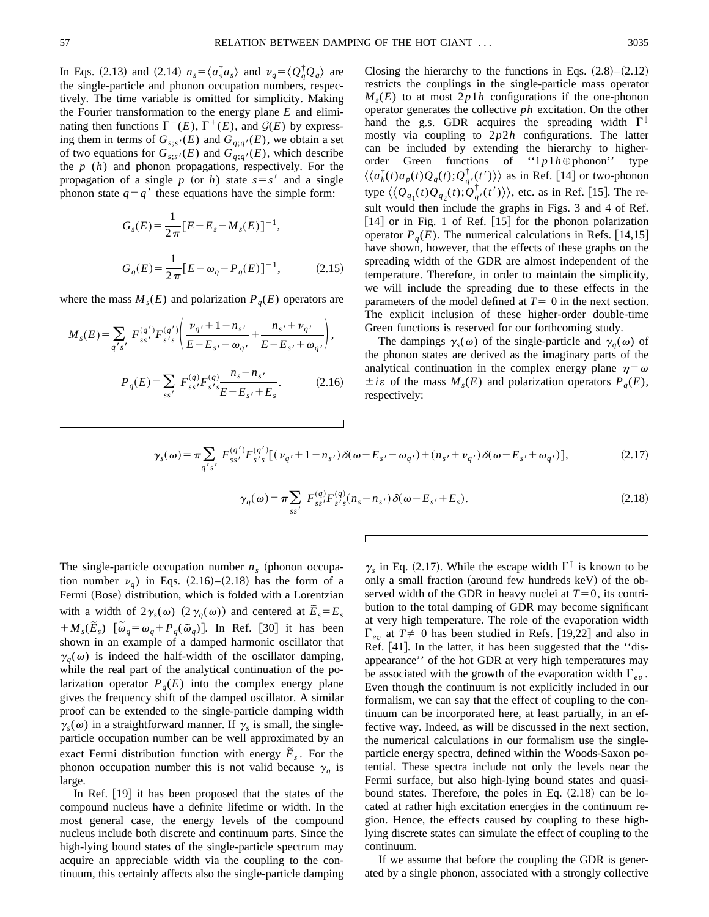In Eqs. (2.13) and (2.14)  $n_s = \langle a_s^{\dagger} a_s \rangle$  and  $\nu_q = \langle Q_q^{\dagger} Q_q \rangle$  are the single-particle and phonon occupation numbers, respectively. The time variable is omitted for simplicity. Making the Fourier transformation to the energy plane *E* and eliminating then functions  $\Gamma^{-}(E)$ ,  $\Gamma^{+}(E)$ , and  $\mathcal{G}(E)$  by expressing them in terms of  $G_{s;s'}(E)$  and  $G_{q;q'}(E)$ , we obtain a set of two equations for  $G_{s,s'}(E)$  and  $G_{q,q'}(E)$ , which describe the *p* (*h*) and phonon propagations, respectively. For the propagation of a single *p* (or *h*) state  $s = s'$  and a single phonon state  $q=q'$  these equations have the simple form:

$$
G_s(E) = \frac{1}{2\pi} [E - E_s - M_s(E)]^{-1},
$$
  
\n
$$
G_q(E) = \frac{1}{2\pi} [E - \omega_q - P_q(E)]^{-1},
$$
\n(2.15)

where the mass  $M<sub>s</sub>(E)$  and polarization  $P<sub>q</sub>(E)$  operators are

$$
M_{s}(E) = \sum_{q's'} F_{ss'}^{(q')} F_{s's}^{(q')} \left( \frac{\nu_{q'} + 1 - n_{s'}}{E - E_{s'} - \omega_{q'}} + \frac{n_{s'} + \nu_{q'}}{E - E_{s'} + \omega_{q'}} \right),
$$
  

$$
P_{q}(E) = \sum_{ss'} F_{ss'}^{(q)} F_{s's}^{(q)} \frac{n_{s} - n_{s'}}{E - E_{s'} + E_{s}}.
$$
 (2.16)

Closing the hierarchy to the functions in Eqs.  $(2.8)$ – $(2.12)$ restricts the couplings in the single-particle mass operator  $M_{s}(E)$  to at most  $2p1h$  configurations if the one-phonon operator generates the collective *ph* excitation. On the other hand the g.s. GDR acquires the spreading width  $\Gamma^{\downarrow}$ mostly via coupling to 2*p*2*h* configurations. The latter can be included by extending the hierarchy to higherorder Green functions of " $1p1h \oplus \text{phonon}$ " type  $\langle \langle a_h^{\dagger}(t) a_p(t) Q_q(t) ; Q_{q'}^{\dagger}(t') \rangle \rangle$  as in Ref. [14] or two-phonon type  $\langle \langle Q_{q_1}(t)Q_{q_2}(t);Q_q^{\dagger}(t') \rangle \rangle$ , etc. as in Ref. [15]. The result would then include the graphs in Figs. 3 and 4 of Ref.  $[14]$  or in Fig. 1 of Ref.  $[15]$  for the phonon polarization operator  $P_q(E)$ . The numerical calculations in Refs. [14,15] have shown, however, that the effects of these graphs on the spreading width of the GDR are almost independent of the temperature. Therefore, in order to maintain the simplicity, we will include the spreading due to these effects in the parameters of the model defined at  $T=0$  in the next section. The explicit inclusion of these higher-order double-time Green functions is reserved for our forthcoming study.

The dampings  $\gamma_s(\omega)$  of the single-particle and  $\gamma_q(\omega)$  of the phonon states are derived as the imaginary parts of the analytical continuation in the complex energy plane  $\eta = \omega$  $\pm i\varepsilon$  of the mass  $M<sub>s</sub>(E)$  and polarization operators  $P<sub>q</sub>(E)$ , respectively:

$$
\gamma_s(\omega) = \pi \sum_{q' s'} F_{ss'}^{(q')} F_{s's}^{(q')}[(\nu_{q'} + 1 - n_{s'})\delta(\omega - E_{s'} - \omega_{q'}) + (n_{s'} + \nu_{q'})\delta(\omega - E_{s'} + \omega_{q'})],
$$
\n(2.17)

$$
\gamma_q(\omega) = \pi \sum_{ss'} F_{ss'}^{(q)} F_{s's}^{(q)}(n_s - n_{s'}) \, \delta(\omega - E_{s'} + E_s). \tag{2.18}
$$

The single-particle occupation number  $n<sub>s</sub>$  (phonon occupation number  $v_q$ ) in Eqs.  $(2.16)$ – $(2.18)$  has the form of a Fermi (Bose) distribution, which is folded with a Lorentzian with a width of  $2\gamma_s(\omega)$  ( $2\gamma_q(\omega)$ ) and centered at  $\tilde{E}_s = E_s$  $+M_s(\tilde{E}_s)$   $[\tilde{\omega}_q = \omega_q + P_q(\tilde{\omega}_q)]$ . In Ref. [30] it has been shown in an example of a damped harmonic oscillator that  $\gamma_q(\omega)$  is indeed the half-width of the oscillator damping, while the real part of the analytical continuation of the polarization operator  $P_q(E)$  into the complex energy plane gives the frequency shift of the damped oscillator. A similar proof can be extended to the single-particle damping width  $\gamma_s(\omega)$  in a straightforward manner. If  $\gamma_s$  is small, the singleparticle occupation number can be well approximated by an exact Fermi distribution function with energy  $\tilde{E}_s$ . For the phonon occupation number this is not valid because  $\gamma_q$  is large.

In Ref.  $[19]$  it has been proposed that the states of the compound nucleus have a definite lifetime or width. In the most general case, the energy levels of the compound nucleus include both discrete and continuum parts. Since the high-lying bound states of the single-particle spectrum may acquire an appreciable width via the coupling to the continuum, this certainly affects also the single-particle damping  $\gamma_s$  in Eq. (2.17). While the escape width  $\Gamma^{\uparrow}$  is known to be only a small fraction (around few hundreds  $keV$ ) of the observed width of the GDR in heavy nuclei at  $T=0$ , its contribution to the total damping of GDR may become significant at very high temperature. The role of the evaporation width  $\Gamma_{ev}$  at  $T \neq 0$  has been studied in Refs. [19,22] and also in Ref. [41]. In the latter, it has been suggested that the "disappearance'' of the hot GDR at very high temperatures may be associated with the growth of the evaporation width  $\Gamma_{ev}$ . Even though the continuum is not explicitly included in our formalism, we can say that the effect of coupling to the continuum can be incorporated here, at least partially, in an effective way. Indeed, as will be discussed in the next section, the numerical calculations in our formalism use the singleparticle energy spectra, defined within the Woods-Saxon potential. These spectra include not only the levels near the Fermi surface, but also high-lying bound states and quasibound states. Therefore, the poles in Eq.  $(2.18)$  can be located at rather high excitation energies in the continuum region. Hence, the effects caused by coupling to these highlying discrete states can simulate the effect of coupling to the continuum.

If we assume that before the coupling the GDR is generated by a single phonon, associated with a strongly collective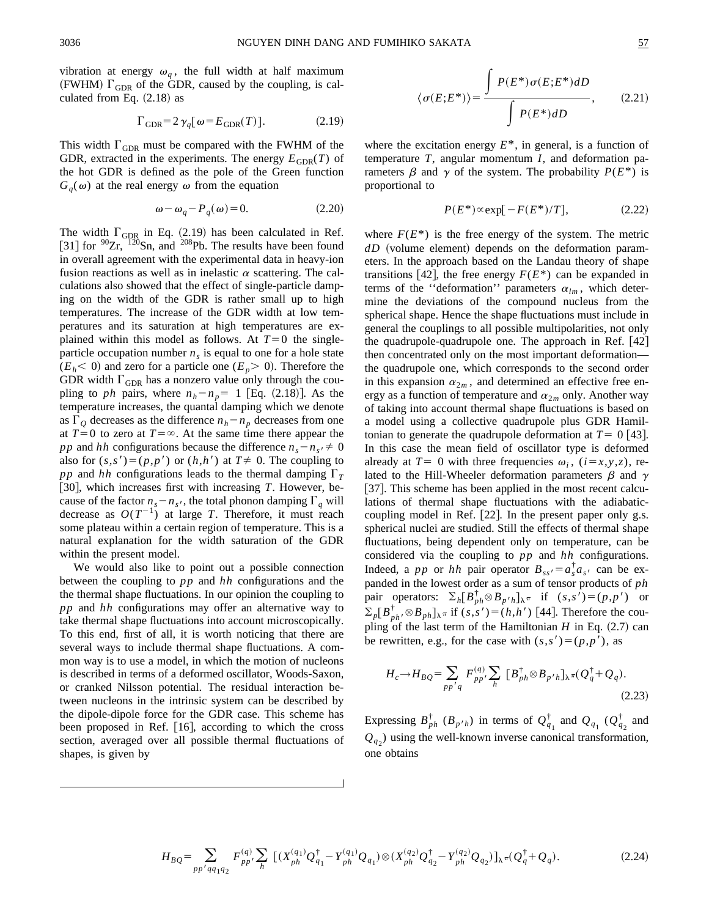vibration at energy  $\omega_q$ , the full width at half maximum (FWHM)  $\Gamma_{\text{GDR}}$  of the GDR, caused by the coupling, is calculated from Eq.  $(2.18)$  as

$$
\Gamma_{\text{GDR}} = 2\,\gamma_q[\,\omega = E_{\text{GDR}}(T)\,].\tag{2.19}
$$

This width  $\Gamma_{\text{GDR}}$  must be compared with the FWHM of the GDR, extracted in the experiments. The energy  $E_{GDR}(T)$  of the hot GDR is defined as the pole of the Green function  $G<sub>a</sub>(\omega)$  at the real energy  $\omega$  from the equation

$$
\omega - \omega_q - P_q(\omega) = 0. \tag{2.20}
$$

The width  $\Gamma_{\text{GDR}}$  in Eq. (2.19) has been calculated in Ref. [31] for  $90Zr$ ,  $120Sn$ , and  $208Pb$ . The results have been found in overall agreement with the experimental data in heavy-ion fusion reactions as well as in inelastic  $\alpha$  scattering. The calculations also showed that the effect of single-particle damping on the width of the GDR is rather small up to high temperatures. The increase of the GDR width at low temperatures and its saturation at high temperatures are explained within this model as follows. At  $T=0$  the singleparticle occupation number  $n<sub>s</sub>$  is equal to one for a hole state  $(E_h < 0)$  and zero for a particle one  $(E_p > 0)$ . Therefore the GDR width  $\Gamma_{\text{GDR}}$  has a nonzero value only through the coupling to *ph* pairs, where  $n_h - n_p = 1$  [Eq. (2.18)]. As the temperature increases, the quantal damping which we denote as  $\Gamma_Q$  decreases as the difference  $n_h - n_p$  decreases from one at  $T=0$  to zero at  $T=\infty$ . At the same time there appear the *pp* and *hh* configurations because the difference  $n_s - n_{s'} \neq 0$ also for  $(s, s') = (p, p')$  or  $(h, h')$  at  $T \neq 0$ . The coupling to *pp* and *hh* configurations leads to the thermal damping  $\Gamma_T$  $[30]$ , which increases first with increasing *T*. However, because of the factor  $n_s - n_{s}$ , the total phonon damping  $\Gamma_q$  will decrease as  $O(T^{-1})$  at large *T*. Therefore, it must reach some plateau within a certain region of temperature. This is a natural explanation for the width saturation of the GDR within the present model.

We would also like to point out a possible connection between the coupling to *pp* and *hh* configurations and the the thermal shape fluctuations. In our opinion the coupling to *pp* and *hh* configurations may offer an alternative way to take thermal shape fluctuations into account microscopically. To this end, first of all, it is worth noticing that there are several ways to include thermal shape fluctuations. A common way is to use a model, in which the motion of nucleons is described in terms of a deformed oscillator, Woods-Saxon, or cranked Nilsson potential. The residual interaction between nucleons in the intrinsic system can be described by the dipole-dipole force for the GDR case. This scheme has been proposed in Ref.  $[16]$ , according to which the cross section, averaged over all possible thermal fluctuations of shapes, is given by

$$
\langle \sigma(E; E^*) \rangle = \frac{\int P(E^*) \sigma(E; E^*) dD}{\int P(E^*) dD}, \qquad (2.21)
$$

where the excitation energy  $E^*$ , in general, is a function of temperature *T*, angular momentum *I*, and deformation parameters  $\beta$  and  $\gamma$  of the system. The probability  $P(E^*)$  is proportional to

$$
P(E^*) \propto \exp[-F(E^*)/T], \quad (2.22)
$$

where  $F(E^*)$  is the free energy of the system. The metric  $dD$  (volume element) depends on the deformation parameters. In the approach based on the Landau theory of shape transitions [42], the free energy  $F(E^*)$  can be expanded in terms of the "deformation" parameters  $\alpha_{lm}$ , which determine the deviations of the compound nucleus from the spherical shape. Hence the shape fluctuations must include in general the couplings to all possible multipolarities, not only the quadrupole-quadrupole one. The approach in Ref.  $[42]$ then concentrated only on the most important deformation the quadrupole one, which corresponds to the second order in this expansion  $\alpha_{2m}$ , and determined an effective free energy as a function of temperature and  $\alpha_{2m}$  only. Another way of taking into account thermal shape fluctuations is based on a model using a collective quadrupole plus GDR Hamiltonian to generate the quadrupole deformation at  $T= 0$  [43]. In this case the mean field of oscillator type is deformed already at  $T=0$  with three frequencies  $\omega_i$ ,  $(i=x,y,z)$ , related to the Hill-Wheeler deformation parameters  $\beta$  and  $\gamma$ [37]. This scheme has been applied in the most recent calculations of thermal shape fluctuations with the adiabaticcoupling model in Ref.  $[22]$ . In the present paper only g.s. spherical nuclei are studied. Still the effects of thermal shape fluctuations, being dependent only on temperature, can be considered via the coupling to *pp* and *hh* configurations. Indeed, a *pp* or *hh* pair operator  $B_{ss'} = a_s^{\dagger} a_s$ , can be expanded in the lowest order as a sum of tensor products of *ph* pair operators:  $\Sigma_h [B_{ph}^{\dagger} \otimes B_{p'h}]_{\lambda^{\pi}}$  if  $(s, s') = (p, p')$  or  $\sum_{p} [B_{ph}^{\dagger}, \otimes B_{ph}]_{\lambda}$  if  $(s, s') = (h, h')$  [44]. Therefore the coupling of the last term of the Hamiltonian  $H$  in Eq.  $(2.7)$  can be rewritten, e.g., for the case with  $(s, s') = (p, p')$ , as

$$
H_c \to H_{BQ} = \sum_{pp'q} F_{pp'}^{(q)} \sum_h [B_{ph}^\dagger \otimes B_{p'h}]_{\lambda} \pi (Q_q^\dagger + Q_q).
$$
\n(2.23)

Expressing  $B_{ph}^{\dagger}$  ( $B_{p'h}$ ) in terms of  $Q_{q_1}^{\dagger}$  and  $Q_{q_1}$  ( $Q_{q_2}^{\dagger}$  and  $Q_{q_2}$ ) using the well-known inverse canonical transformation, one obtains

$$
H_{BQ} = \sum_{pp' \neq q_1 q_2} F_{pp'}^{(q)} \sum_{h} \left[ (X_{ph}^{(q_1)} Q_{q_1}^{\dagger} - Y_{ph}^{(q_1)} Q_{q_1}) \otimes (X_{ph}^{(q_2)} Q_{q_2}^{\dagger} - Y_{ph}^{(q_2)} Q_{q_2}) \right]_{\lambda} \pi (Q_q^{\dagger} + Q_q).
$$
 (2.24)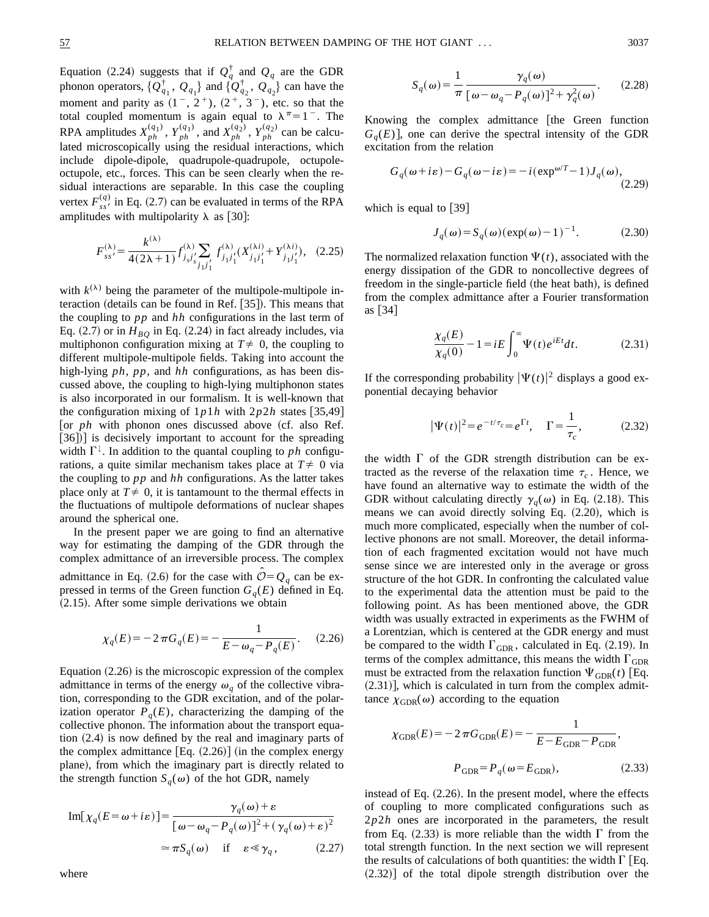Equation (2.24) suggests that if  $Q_q^{\dagger}$  and  $Q_q$  are the GDR phonon operators,  $\{Q_{q_1}^{\dagger}, Q_{q_1}\}\$  and  $\{Q_{q_2}^{\dagger}, Q_{q_2}\}\$ can have the moment and parity as  $(1^-, 2^+), (2^+, 3^-),$  etc. so that the total coupled momentum is again equal to  $\lambda^{\pi}=1$ . The RPA amplitudes  $X_{ph}^{(q_1)}$ ,  $Y_{ph}^{(q_1)}$ , and  $X_{ph}^{(q_2)}$ ,  $Y_{ph}^{(q_2)}$  can be calculated microscopically using the residual interactions, which include dipole-dipole, quadrupole-quadrupole, octupoleoctupole, etc., forces. This can be seen clearly when the residual interactions are separable. In this case the coupling vertex  $F_{ss}^{(q)}$  in Eq. (2.7) can be evaluated in terms of the RPA amplitudes with multipolarity  $\lambda$  as [30]:

$$
F_{ss'}^{(\lambda)} = \frac{k^{(\lambda)}}{4(2\lambda+1)} f_{j,j',j}^{(\lambda)} \sum_{j_1,j_1'} f_{j_1j_1'}^{(\lambda)} (X_{j_1j_1'}^{(\lambda i)} + Y_{j_1j_1'}^{(\lambda i)}), \quad (2.25)
$$

with  $k^{(\lambda)}$  being the parameter of the multipole-multipole interaction (details can be found in Ref.  $[35]$ ). This means that the coupling to *pp* and *hh* configurations in the last term of Eq.  $(2.7)$  or in  $H_{BO}$  in Eq.  $(2.24)$  in fact already includes, via multiphonon configuration mixing at  $T \neq 0$ , the coupling to different multipole-multipole fields. Taking into account the high-lying *ph*, *pp*, and *hh* configurations, as has been discussed above, the coupling to high-lying multiphonon states is also incorporated in our formalism. It is well-known that the configuration mixing of  $1p1h$  with  $2p2h$  states [35,49] [or  $ph$  with phonon ones discussed above (cf. also Ref. [36])] is decisively important to account for the spreading width  $\Gamma^{\downarrow}$ . In addition to the quantal coupling to *ph* configurations, a quite similar mechanism takes place at  $T \neq 0$  via the coupling to *pp* and *hh* configurations. As the latter takes place only at  $T \neq 0$ , it is tantamount to the thermal effects in the fluctuations of multipole deformations of nuclear shapes around the spherical one.

In the present paper we are going to find an alternative way for estimating the damping of the GDR through the complex admittance of an irreversible process. The complex admittance in Eq. (2.6) for the case with  $O = Q<sub>q</sub>$  can be expressed in terms of the Green function  $G_q(E)$  defined in Eq.  $(2.15)$ . After some simple derivations we obtain

$$
\chi_q(E) = -2\pi G_q(E) = -\frac{1}{E - \omega_q - P_q(E)}.
$$
 (2.26)

Equation  $(2.26)$  is the microscopic expression of the complex admittance in terms of the energy  $\omega_q$  of the collective vibration, corresponding to the GDR excitation, and of the polarization operator  $P_q(E)$ , characterizing the damping of the collective phonon. The information about the transport equation  $(2.4)$  is now defined by the real and imaginary parts of the complex admittance  $[Eq. (2.26)]$  (in the complex energy plane), from which the imaginary part is directly related to the strength function  $S_q(\omega)$  of the hot GDR, namely

$$
\text{Im}[\chi_q(E=\omega+i\varepsilon)] = \frac{\gamma_q(\omega)+\varepsilon}{[\omega-\omega_q-P_q(\omega)]^2+(\gamma_q(\omega)+\varepsilon)^2}
$$

$$
\approx \pi S_q(\omega) \quad \text{if} \quad \varepsilon \ll \gamma_q, \tag{2.27}
$$

where

$$
S_q(\omega) = \frac{1}{\pi} \frac{\gamma_q(\omega)}{\left[\omega - \omega_q - P_q(\omega)\right]^2 + \gamma_q^2(\omega)}.
$$
 (2.28)

Knowing the complex admittance [the Green function  $G<sub>a</sub>(E)$ , one can derive the spectral intensity of the GDR excitation from the relation

$$
G_q(\omega + i\varepsilon) - G_q(\omega - i\varepsilon) = -i(\exp^{\omega/T} - 1)J_q(\omega),
$$
\n(2.29)

which is equal to  $[39]$ 

$$
J_q(\omega) = S_q(\omega)(\exp(\omega) - 1)^{-1}.
$$
 (2.30)

The normalized relaxation function  $\Psi(t)$ , associated with the energy dissipation of the GDR to noncollective degrees of freedom in the single-particle field (the heat bath), is defined from the complex admittance after a Fourier transformation as  $\lfloor 34 \rfloor$ 

$$
\frac{\chi_q(E)}{\chi_q(0)} - 1 = iE \int_0^\infty \Psi(t) e^{iEt} dt.
$$
 (2.31)

If the corresponding probability  $|\Psi(t)|^2$  displays a good exponential decaying behavior

$$
|\Psi(t)|^2 = e^{-t/\tau_c} = e^{\Gamma t}, \quad \Gamma = \frac{1}{\tau_c}, \quad (2.32)
$$

the width  $\Gamma$  of the GDR strength distribution can be extracted as the reverse of the relaxation time  $\tau_c$ . Hence, we have found an alternative way to estimate the width of the GDR without calculating directly  $\gamma_a(\omega)$  in Eq. (2.18). This means we can avoid directly solving Eq.  $(2.20)$ , which is much more complicated, especially when the number of collective phonons are not small. Moreover, the detail information of each fragmented excitation would not have much sense since we are interested only in the average or gross structure of the hot GDR. In confronting the calculated value to the experimental data the attention must be paid to the following point. As has been mentioned above, the GDR width was usually extracted in experiments as the FWHM of a Lorentzian, which is centered at the GDR energy and must be compared to the width  $\Gamma_{\text{GDR}}$ , calculated in Eq. (2.19). In terms of the complex admittance, this means the width  $\Gamma_{\text{GDR}}$ must be extracted from the relaxation function  $\Psi_{GDR}(t)$  [Eq.  $(2.31)$ , which is calculated in turn from the complex admittance  $\chi_{GDR}(\omega)$  according to the equation

$$
\chi_{\text{GDR}}(E) = -2\pi G_{\text{GDR}}(E) = -\frac{1}{E - E_{\text{GDR}} - P_{\text{GDR}}},
$$

$$
P_{\text{GDR}} = P_q(\omega = E_{\text{GDR}}),
$$
(2.33)

instead of Eq.  $(2.26)$ . In the present model, where the effects of coupling to more complicated configurations such as 2*p*2*h* ones are incorporated in the parameters, the result from Eq.  $(2.33)$  is more reliable than the width  $\Gamma$  from the total strength function. In the next section we will represent the results of calculations of both quantities: the width  $\Gamma$  [Eq.  $(2.32)$ ] of the total dipole strength distribution over the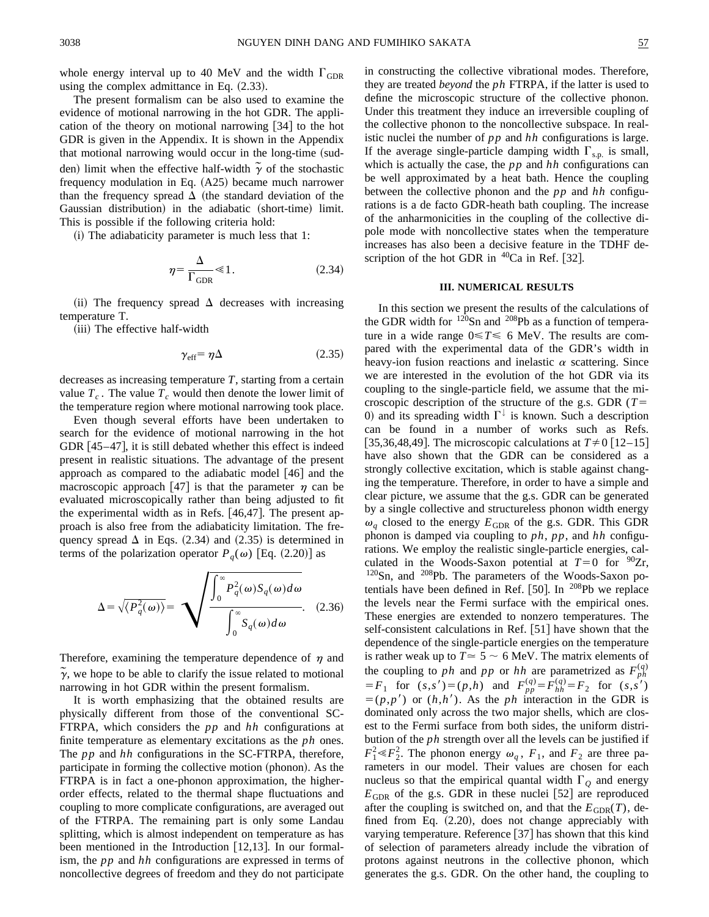whole energy interval up to 40 MeV and the width  $\Gamma_{GDR}$ using the complex admittance in Eq.  $(2.33)$ .

The present formalism can be also used to examine the evidence of motional narrowing in the hot GDR. The application of the theory on motional narrowing  $[34]$  to the hot GDR is given in the Appendix. It is shown in the Appendix that motional narrowing would occur in the long-time (sudden) limit when the effective half-width  $\tilde{\gamma}$  of the stochastic frequency modulation in Eq.  $(A25)$  became much narrower than the frequency spread  $\Delta$  (the standard deviation of the Gaussian distribution) in the adiabatic (short-time) limit. This is possible if the following criteria hold:

 $(i)$  The adiabaticity parameter is much less that 1:

$$
\eta = \frac{\Delta}{\Gamma_{\text{GDR}}} \ll 1. \tag{2.34}
$$

(ii) The frequency spread  $\Delta$  decreases with increasing temperature T.

(iii) The effective half-width

$$
\gamma_{\rm eff} = \eta \Delta \tag{2.35}
$$

decreases as increasing temperature *T*, starting from a certain value  $T_c$ . The value  $T_c$  would then denote the lower limit of the temperature region where motional narrowing took place.

Even though several efforts have been undertaken to search for the evidence of motional narrowing in the hot GDR  $[45-47]$ , it is still debated whether this effect is indeed present in realistic situations. The advantage of the present approach as compared to the adiabatic model  $[46]$  and the macroscopic approach [47] is that the parameter  $\eta$  can be evaluated microscopically rather than being adjusted to fit the experimental width as in Refs.  $[46,47]$ . The present approach is also free from the adiabaticity limitation. The frequency spread  $\Delta$  in Eqs. (2.34) and (2.35) is determined in terms of the polarization operator  $P_q(\omega)$  [Eq. (2.20)] as

$$
\Delta = \sqrt{\langle P_q^2(\omega) \rangle} = \sqrt{\frac{\int_0^{\infty} P_q^2(\omega) S_q(\omega) d\omega}{\int_0^{\infty} S_q(\omega) d\omega}}.
$$
 (2.36)

Therefore, examining the temperature dependence of  $\eta$  and  $\tilde{\gamma}$ , we hope to be able to clarify the issue related to motional narrowing in hot GDR within the present formalism.

It is worth emphasizing that the obtained results are physically different from those of the conventional SC-FTRPA, which considers the *pp* and *hh* configurations at finite temperature as elementary excitations as the *ph* ones. The *pp* and *hh* configurations in the SC-FTRPA, therefore, participate in forming the collective motion (phonon). As the FTRPA is in fact a one-phonon approximation, the higherorder effects, related to the thermal shape fluctuations and coupling to more complicate configurations, are averaged out of the FTRPA. The remaining part is only some Landau splitting, which is almost independent on temperature as has been mentioned in the Introduction  $[12,13]$ . In our formalism, the *pp* and *hh* configurations are expressed in terms of noncollective degrees of freedom and they do not participate in constructing the collective vibrational modes. Therefore, they are treated *beyond* the *ph* FTRPA, if the latter is used to define the microscopic structure of the collective phonon. Under this treatment they induce an irreversible coupling of the collective phonon to the noncollective subspace. In realistic nuclei the number of *pp* and *hh* configurations is large. If the average single-particle damping width  $\Gamma_{s.p.}$  is small, which is actually the case, the *pp* and *hh* configurations can be well approximated by a heat bath. Hence the coupling between the collective phonon and the *pp* and *hh* configurations is a de facto GDR-heath bath coupling. The increase of the anharmonicities in the coupling of the collective dipole mode with noncollective states when the temperature increases has also been a decisive feature in the TDHF description of the hot GDR in  $^{40}Ca$  in Ref. [32].

#### **III. NUMERICAL RESULTS**

In this section we present the results of the calculations of the GDR width for  $120$ Sn and  $208$ Pb as a function of temperature in a wide range  $0 \le T \le 6$  MeV. The results are compared with the experimental data of the GDR's width in heavy-ion fusion reactions and inelastic  $\alpha$  scattering. Since we are interested in the evolution of the hot GDR via its coupling to the single-particle field, we assume that the microscopic description of the structure of the g.s. GDR ( $T=$ 0) and its spreading width  $\Gamma^{\downarrow}$  is known. Such a description can be found in a number of works such as Refs. [35,36,48,49]. The microscopic calculations at  $T\neq 0$  [12–15] have also shown that the GDR can be considered as a strongly collective excitation, which is stable against changing the temperature. Therefore, in order to have a simple and clear picture, we assume that the g.s. GDR can be generated by a single collective and structureless phonon width energy  $\omega_q$  closed to the energy  $E_{\text{GDR}}$  of the g.s. GDR. This GDR phonon is damped via coupling to *ph*, *pp*, and *hh* configurations. We employ the realistic single-particle energies, calculated in the Woods-Saxon potential at  $T=0$  for <sup>90</sup>Zr,  $120$ Sn, and  $208$ Pb. The parameters of the Woods-Saxon potentials have been defined in Ref. [50]. In  $^{208}Pb$  we replace the levels near the Fermi surface with the empirical ones. These energies are extended to nonzero temperatures. The self-consistent calculations in Ref.  $[51]$  have shown that the dependence of the single-particle energies on the temperature is rather weak up to  $T \approx 5 \sim 6$  MeV. The matrix elements of the coupling to *ph* and *pp* or *hh* are parametrized as  $F_{ph}^{(q)}$  $F_F = F_1$  for  $(s, s') = (p, h)$  and  $F_{pp}^{(q)} = F_{hh}^{(q)} = F_2$  for  $(s, s')$  $=(p,p')$  or  $(h,h')$ . As the *ph* interaction in the GDR is dominated only across the two major shells, which are closest to the Fermi surface from both sides, the uniform distribution of the *ph* strength over all the levels can be justified if  $F_1^2 \ll F_2^2$ . The phonon energy  $\omega_q$ ,  $F_1$ , and  $F_2$  are three parameters in our model. Their values are chosen for each nucleus so that the empirical quantal width  $\Gamma$ <sub>O</sub> and energy  $E_{\text{GDR}}$  of the g.s. GDR in these nuclei [52] are reproduced after the coupling is switched on, and that the  $E_{GDR}(T)$ , defined from Eq.  $(2.20)$ , does not change appreciably with varying temperature. Reference  $[37]$  has shown that this kind of selection of parameters already include the vibration of protons against neutrons in the collective phonon, which generates the g.s. GDR. On the other hand, the coupling to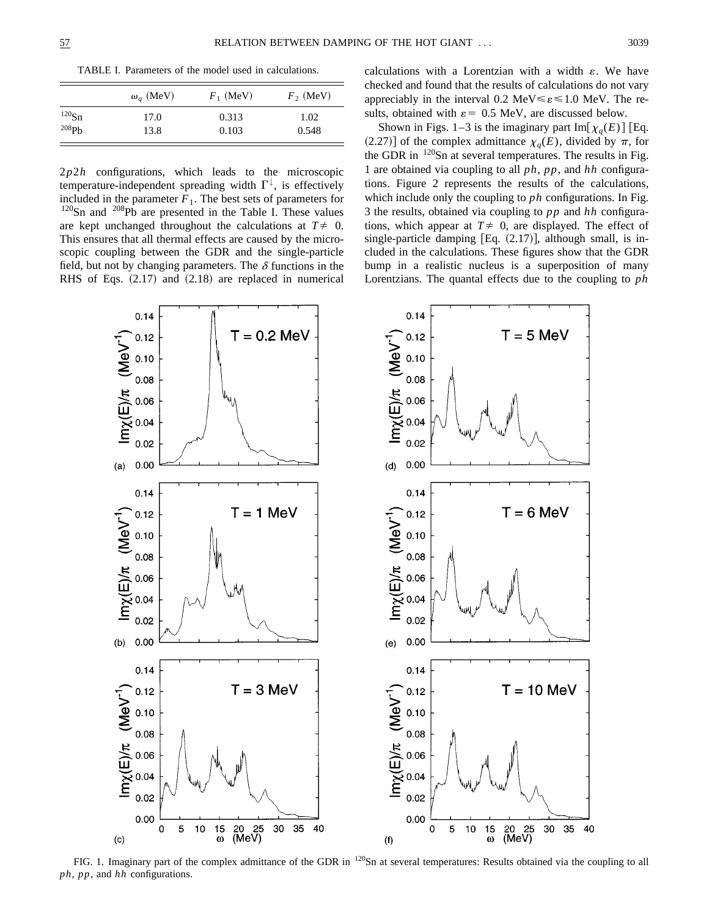TABLE I. Parameters of the model used in calculations.

|            | $\omega_q$ (MeV) | $F_1$ (MeV) | $F_2$ (MeV) |
|------------|------------------|-------------|-------------|
| $120$ Sn   | 17.0             | 0.313       | 1.02        |
| $^{208}Ph$ | 13.8             | 0.103       | 0.548       |

2*p*2*h* configurations, which leads to the microscopic temperature-independent spreading width  $\Gamma^{\downarrow}$ , is effectively included in the parameter  $F_1$ . The best sets of parameters for  $120$ Sn and  $208$ Pb are presented in the Table I. These values are kept unchanged throughout the calculations at  $T \neq 0$ . This ensures that all thermal effects are caused by the microscopic coupling between the GDR and the single-particle field, but not by changing parameters. The  $\delta$  functions in the RHS of Eqs.  $(2.17)$  and  $(2.18)$  are replaced in numerical calculations with a Lorentzian with a width  $\varepsilon$ . We have checked and found that the results of calculations do not vary appreciably in the interval 0.2 MeV $\leq \varepsilon \leq 1.0$  MeV. The results, obtained with  $\varepsilon = 0.5$  MeV, are discussed below.

Shown in Figs. 1–3 is the imaginary part Im $[\chi_a(E)]$  [Eq. (2.27)] of the complex admittance  $\chi_q(E)$ , divided by  $\pi$ , for the GDR in  $^{120}$ Sn at several temperatures. The results in Fig. 1 are obtained via coupling to all *ph*, *pp*, and *hh* configurations. Figure 2 represents the results of the calculations, which include only the coupling to *ph* configurations. In Fig. 3 the results, obtained via coupling to *pp* and *hh* configurations, which appear at  $T \neq 0$ , are displayed. The effect of single-particle damping  $[Eq. (2.17)],$  although small, is included in the calculations. These figures show that the GDR bump in a realistic nucleus is a superposition of many Lorentzians. The quantal effects due to the coupling to *ph*



FIG. 1. Imaginary part of the complex admittance of the GDR in <sup>120</sup>Sn at several temperatures: Results obtained via the coupling to all *ph*, *pp*, and *hh* configurations.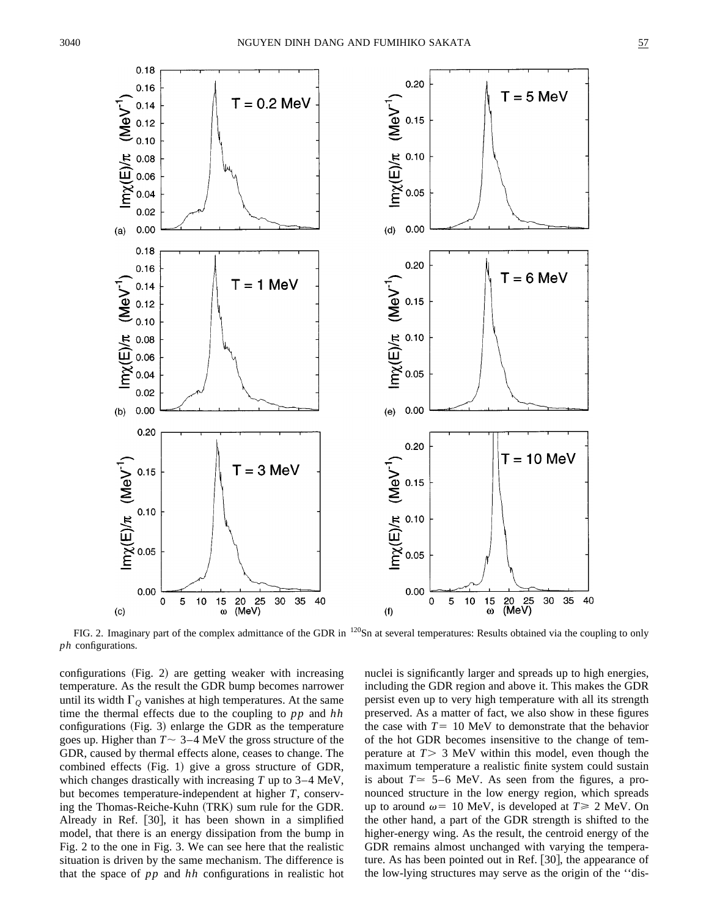

FIG. 2. Imaginary part of the complex admittance of the GDR in <sup>120</sup>Sn at several temperatures: Results obtained via the coupling to only *ph* configurations.

configurations  $(Fig. 2)$  are getting weaker with increasing temperature. As the result the GDR bump becomes narrower until its width  $\Gamma_Q$  vanishes at high temperatures. At the same time the thermal effects due to the coupling to *pp* and *hh* configurations  $(Fig. 3)$  enlarge the GDR as the temperature goes up. Higher than  $T \sim 3-4$  MeV the gross structure of the GDR, caused by thermal effects alone, ceases to change. The combined effects  $(Fig. 1)$  give a gross structure of GDR, which changes drastically with increasing *T* up to 3–4 MeV, but becomes temperature-independent at higher *T*, conserving the Thomas-Reiche-Kuhn (TRK) sum rule for the GDR. Already in Ref.  $[30]$ , it has been shown in a simplified model, that there is an energy dissipation from the bump in Fig. 2 to the one in Fig. 3. We can see here that the realistic situation is driven by the same mechanism. The difference is that the space of *pp* and *hh* configurations in realistic hot nuclei is significantly larger and spreads up to high energies, including the GDR region and above it. This makes the GDR persist even up to very high temperature with all its strength preserved. As a matter of fact, we also show in these figures the case with  $T=10$  MeV to demonstrate that the behavior of the hot GDR becomes insensitive to the change of temperature at  $T > 3$  MeV within this model, even though the maximum temperature a realistic finite system could sustain is about  $T \approx 5-6$  MeV. As seen from the figures, a pronounced structure in the low energy region, which spreads up to around  $\omega$ = 10 MeV, is developed at *T*  $\geq$  2 MeV. On the other hand, a part of the GDR strength is shifted to the higher-energy wing. As the result, the centroid energy of the GDR remains almost unchanged with varying the temperature. As has been pointed out in Ref.  $[30]$ , the appearance of the low-lying structures may serve as the origin of the ''dis-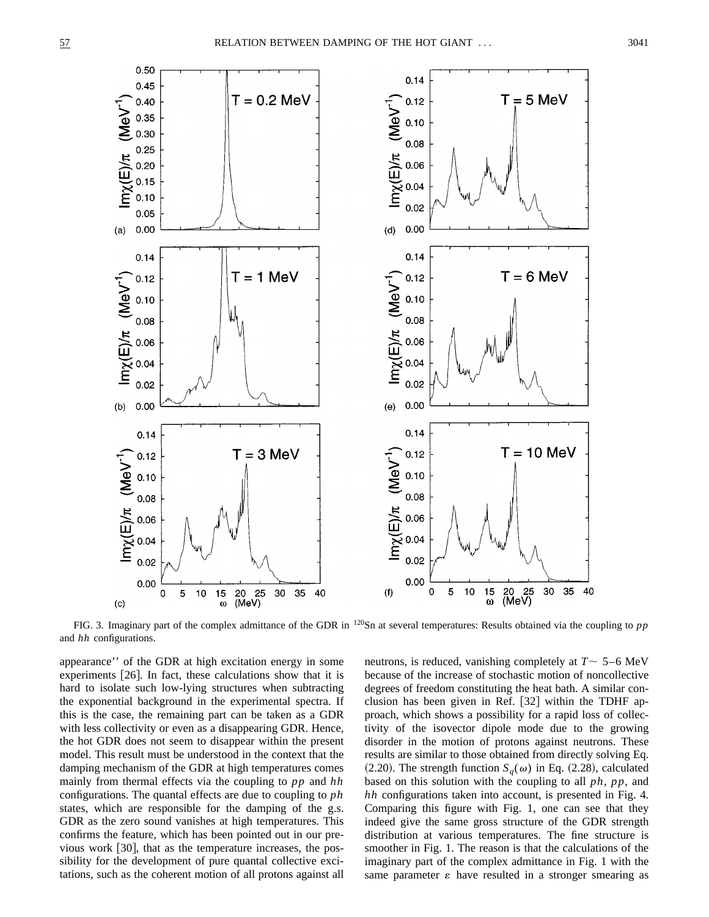

FIG. 3. Imaginary part of the complex admittance of the GDR in 120Sn at several temperatures: Results obtained via the coupling to *pp* and *hh* configurations.

appearance'' of the GDR at high excitation energy in some experiments  $[26]$ . In fact, these calculations show that it is hard to isolate such low-lying structures when subtracting the exponential background in the experimental spectra. If this is the case, the remaining part can be taken as a GDR with less collectivity or even as a disappearing GDR. Hence, the hot GDR does not seem to disappear within the present model. This result must be understood in the context that the damping mechanism of the GDR at high temperatures comes mainly from thermal effects via the coupling to *pp* and *hh* configurations. The quantal effects are due to coupling to *ph* states, which are responsible for the damping of the g.s. GDR as the zero sound vanishes at high temperatures. This confirms the feature, which has been pointed out in our previous work  $[30]$ , that as the temperature increases, the possibility for the development of pure quantal collective excitations, such as the coherent motion of all protons against all neutrons, is reduced, vanishing completely at  $T \sim 5-6$  MeV because of the increase of stochastic motion of noncollective degrees of freedom constituting the heat bath. A similar conclusion has been given in Ref.  $[32]$  within the TDHF approach, which shows a possibility for a rapid loss of collectivity of the isovector dipole mode due to the growing disorder in the motion of protons against neutrons. These results are similar to those obtained from directly solving Eq. (2.20). The strength function  $S_q(\omega)$  in Eq. (2.28), calculated based on this solution with the coupling to all *ph*, *pp*, and *hh* configurations taken into account, is presented in Fig. 4. Comparing this figure with Fig. 1, one can see that they indeed give the same gross structure of the GDR strength distribution at various temperatures. The fine structure is smoother in Fig. 1. The reason is that the calculations of the imaginary part of the complex admittance in Fig. 1 with the same parameter  $\varepsilon$  have resulted in a stronger smearing as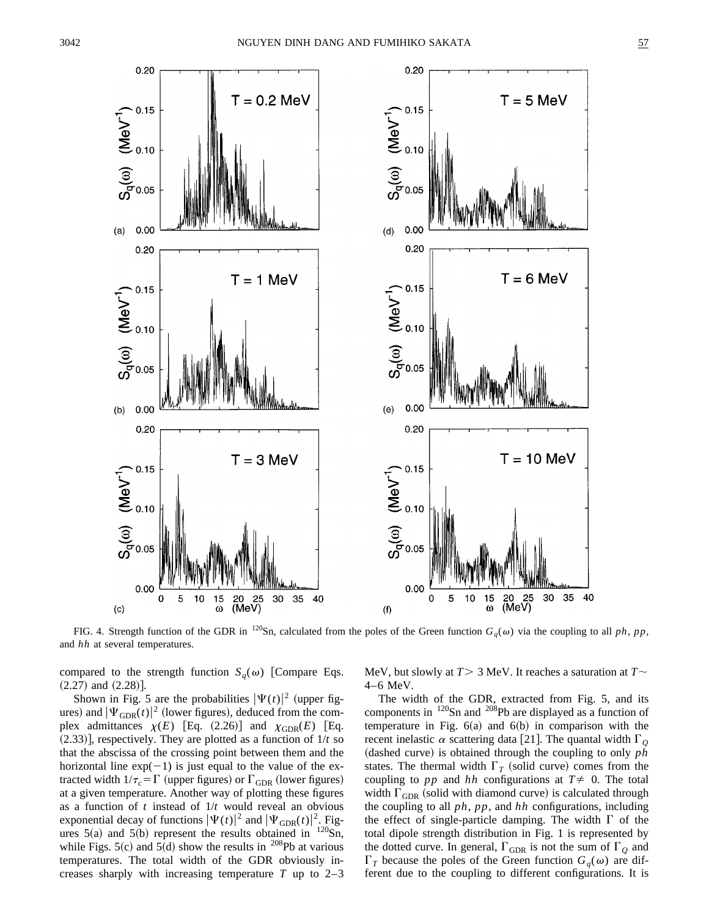

FIG. 4. Strength function of the GDR in <sup>120</sup>Sn, calculated from the poles of the Green function  $G_q(\omega)$  via the coupling to all *ph*, *pp*, and *hh* at several temperatures.

compared to the strength function  $S_q(\omega)$  [Compare Eqs.  $(2.27)$  and  $(2.28)$ ].

Shown in Fig. 5 are the probabilities  $|\Psi(t)|^2$  (upper figures) and  $|\Psi_{\text{GDR}}(t)|^2$  (lower figures), deduced from the complex admittances  $\chi(E)$  [Eq. (2.26)] and  $\chi_{GDR}(E)$  [Eq.  $(2.33)$ ], respectively. They are plotted as a function of  $1/t$  so that the abscissa of the crossing point between them and the horizontal line  $exp(-1)$  is just equal to the value of the extracted width  $1/\tau_c = \Gamma$  (upper figures) or  $\Gamma_{\text{GDR}}$  (lower figures) at a given temperature. Another way of plotting these figures as a function of *t* instead of 1/*t* would reveal an obvious exponential decay of functions  $|\Psi(t)|^2$  and  $|\Psi_{\text{GDR}}(t)|^2$ . Figures  $5(a)$  and  $5(b)$  represent the results obtained in  $120$ Sn, while Figs.  $5(c)$  and  $5(d)$  show the results in <sup>208</sup>Pb at various temperatures. The total width of the GDR obviously increases sharply with increasing temperature  $T$  up to  $2-3$  MeV, but slowly at  $T > 3$  MeV. It reaches a saturation at  $T \sim$ 4–6 MeV.

The width of the GDR, extracted from Fig. 5, and its components in 120Sn and 208Pb are displayed as a function of temperature in Fig.  $6(a)$  and  $6(b)$  in comparison with the recent inelastic  $\alpha$  scattering data [21]. The quantal width  $\Gamma$ <sub>O</sub> ~dashed curve! is obtained through the coupling to only *ph* states. The thermal width  $\Gamma_T$  (solid curve) comes from the coupling to *pp* and *hh* configurations at  $T \neq 0$ . The total width  $\Gamma_{\text{GDR}}$  (solid with diamond curve) is calculated through the coupling to all *ph*, *pp*, and *hh* configurations, including the effect of single-particle damping. The width  $\Gamma$  of the total dipole strength distribution in Fig. 1 is represented by the dotted curve. In general,  $\Gamma_{\text{GDR}}$  is not the sum of  $\Gamma_Q$  and  $\Gamma_T$  because the poles of the Green function  $G_q(\omega)$  are different due to the coupling to different configurations. It is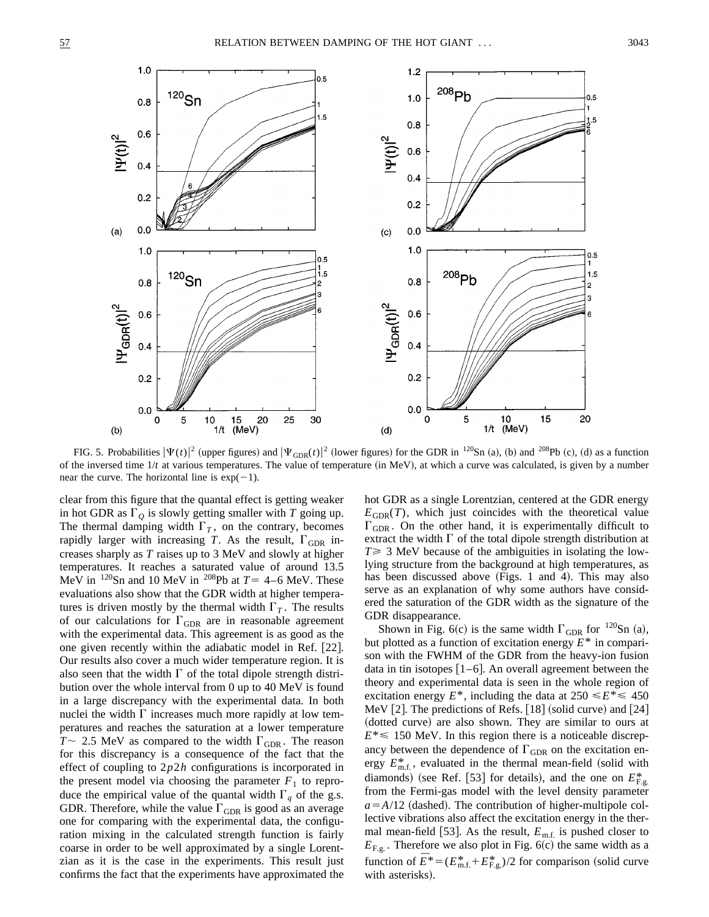

FIG. 5. Probabilities  $|\Psi(t)|^2$  (upper figures) and  $|\Psi_{\text{GDR}}(t)|^2$  (lower figures) for the GDR in <sup>120</sup>Sn (a), (b) and <sup>208</sup>Pb (c), (d) as a function of the inversed time  $1/t$  at various temperatures. The value of temperature (in MeV), at which a curve was calculated, is given by a number near the curve. The horizontal line is  $exp(-1)$ .

clear from this figure that the quantal effect is getting weaker in hot GDR as  $\Gamma_Q$  is slowly getting smaller with *T* going up. The thermal damping width  $\Gamma_T$ , on the contrary, becomes rapidly larger with increasing *T*. As the result,  $\Gamma_{GDR}$  increases sharply as *T* raises up to 3 MeV and slowly at higher temperatures. It reaches a saturated value of around 13.5 MeV in <sup>120</sup>Sn and 10 MeV in <sup>208</sup>Pb at  $T=$  4–6 MeV. These evaluations also show that the GDR width at higher temperatures is driven mostly by the thermal width  $\Gamma_T$ . The results of our calculations for  $\Gamma_{\text{GDR}}$  are in reasonable agreement with the experimental data. This agreement is as good as the one given recently within the adiabatic model in Ref. [22]. Our results also cover a much wider temperature region. It is also seen that the width  $\Gamma$  of the total dipole strength distribution over the whole interval from 0 up to 40 MeV is found in a large discrepancy with the experimental data. In both nuclei the width  $\Gamma$  increases much more rapidly at low temperatures and reaches the saturation at a lower temperature  $T \sim 2.5$  MeV as compared to the width  $\Gamma_{GDR}$ . The reason for this discrepancy is a consequence of the fact that the effect of coupling to 2*p*2*h* configurations is incorporated in the present model via choosing the parameter  $F_1$  to reproduce the empirical value of the quantal width  $\Gamma_q$  of the g.s. GDR. Therefore, while the value  $\Gamma_{\text{GDR}}$  is good as an average one for comparing with the experimental data, the configuration mixing in the calculated strength function is fairly coarse in order to be well approximated by a single Lorentzian as it is the case in the experiments. This result just confirms the fact that the experiments have approximated the

hot GDR as a single Lorentzian, centered at the GDR energy  $E_{GDR}(T)$ , which just coincides with the theoretical value  $\Gamma_{\text{GDR}}$ . On the other hand, it is experimentally difficult to extract the width  $\Gamma$  of the total dipole strength distribution at  $T \geq 3$  MeV because of the ambiguities in isolating the lowlying structure from the background at high temperatures, as has been discussed above  $(Figs. 1$  and 4). This may also serve as an explanation of why some authors have considered the saturation of the GDR width as the signature of the GDR disappearance.

Shown in Fig. 6(c) is the same width  $\Gamma_{\text{GDR}}$  for <sup>120</sup>Sn (a), but plotted as a function of excitation energy *E*\* in comparison with the FWHM of the GDR from the heavy-ion fusion data in tin isotopes  $[1-6]$ . An overall agreement between the theory and experimental data is seen in the whole region of excitation energy  $E^*$ , including the data at  $250 \le E^* \le 450$ MeV  $[2]$ . The predictions of Refs.  $[18]$  (solid curve) and  $[24]$ (dotted curve) are also shown. They are similar to ours at  $E^* \le 150$  MeV. In this region there is a noticeable discrepancy between the dependence of  $\Gamma_{\text{GDR}}$  on the excitation energy  $E_{m.f.}^*$ , evaluated in the thermal mean-field (solid with diamonds) (see Ref. [53] for details), and the one on  $E_{F,g}^*$ from the Fermi-gas model with the level density parameter  $a = A/12$  (dashed). The contribution of higher-multipole collective vibrations also affect the excitation energy in the thermal mean-field [53]. As the result,  $E_{m.f.}$  is pushed closer to  $E_{F.g.}$ . Therefore we also plot in Fig. 6(c) the same width as a function of  $\bar{E}^* = (E_{\text{m.f.}}^* + E_{\text{F.g.}}^*)/2$  for comparison (solid curve with asterisks).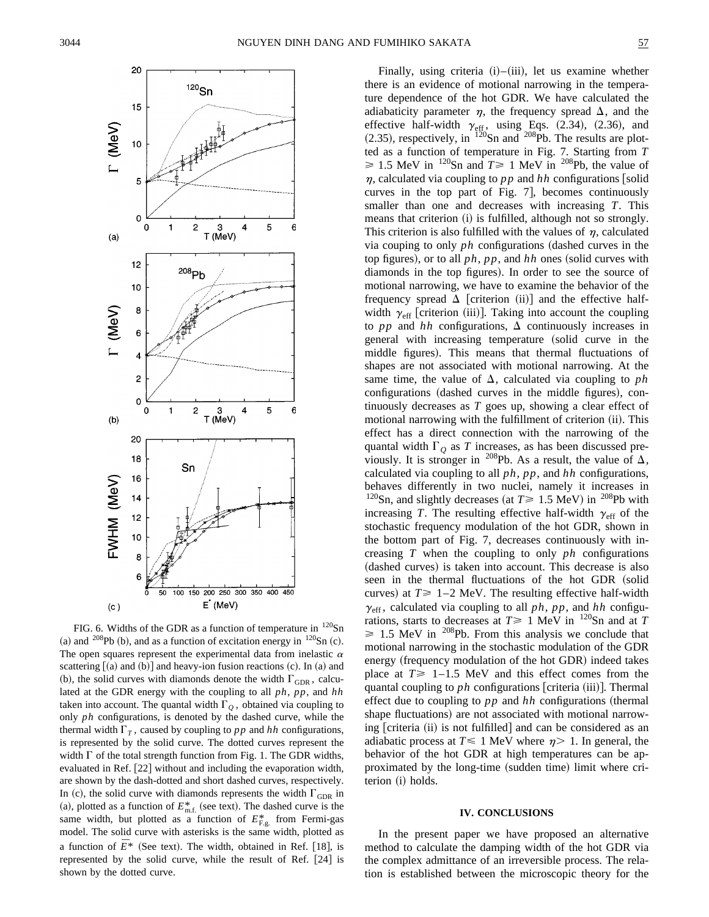

FIG. 6. Widths of the GDR as a function of temperature in  $120$ Sn (a) and <sup>208</sup>Pb (b), and as a function of excitation energy in  $^{120}Sn$  (c). The open squares represent the experimental data from inelastic  $\alpha$ scattering  $(a)$  and  $(b)$  and heavy-ion fusion reactions  $(c)$ . In  $(a)$  and (b), the solid curves with diamonds denote the width  $\Gamma_{\text{GDR}}$ , calculated at the GDR energy with the coupling to all *ph*, *pp*, and *hh* taken into account. The quantal width  $\Gamma$ <sub>O</sub>, obtained via coupling to only *ph* configurations, is denoted by the dashed curve, while the thermal width  $\Gamma_T$ , caused by coupling to pp and hh configurations, is represented by the solid curve. The dotted curves represent the width  $\Gamma$  of the total strength function from Fig. 1. The GDR widths, evaluated in Ref. [22] without and including the evaporation width, are shown by the dash-dotted and short dashed curves, respectively. In (c), the solid curve with diamonds represents the width  $\Gamma_{\text{GDR}}$  in (a), plotted as a function of  $E_{m.f.}^*$  (see text). The dashed curve is the same width, but plotted as a function of  $E_{F,g}^*$  from Fermi-gas model. The solid curve with asterisks is the same width, plotted as a function of  $\overline{E}^*$  (See text). The width, obtained in Ref. [18], is represented by the solid curve, while the result of Ref. [24] is shown by the dotted curve.

Finally, using criteria  $(i)$ – $(iii)$ , let us examine whether there is an evidence of motional narrowing in the temperature dependence of the hot GDR. We have calculated the adiabaticity parameter  $\eta$ , the frequency spread  $\Delta$ , and the effective half-width  $\gamma_{\text{eff}}$ , using Eqs. (2.34), (2.36), and  $(2.35)$ , respectively, in  $120$ Sn and  $208$ Pb. The results are plotted as a function of temperature in Fig. 7. Starting from *T*  $\geq 1.5$  MeV in <sup>120</sup>Sn and  $T \geq 1$  MeV in <sup>208</sup>Pb, the value of  $\eta$ , calculated via coupling to *pp* and *hh* configurations [solid curves in the top part of Fig.  $7$ , becomes continuously smaller than one and decreases with increasing *T*. This means that criterion (i) is fulfilled, although not so strongly. This criterion is also fulfilled with the values of  $n$ , calculated via couping to only  $ph$  configurations (dashed curves in the top figures), or to all  $ph$ ,  $pp$ , and  $hh$  ones (solid curves with diamonds in the top figures). In order to see the source of motional narrowing, we have to examine the behavior of the frequency spread  $\Delta$  [criterion (ii)] and the effective halfwidth  $\gamma_{\text{eff}}$  [criterion (iii)]. Taking into account the coupling to *pp* and *hh* configurations,  $\Delta$  continuously increases in general with increasing temperature (solid curve in the middle figures). This means that thermal fluctuations of shapes are not associated with motional narrowing. At the same time, the value of  $\Delta$ , calculated via coupling to *ph* configurations (dashed curves in the middle figures), continuously decreases as *T* goes up, showing a clear effect of motional narrowing with the fulfillment of criterion (ii). This effect has a direct connection with the narrowing of the quantal width  $\Gamma_Q$  as *T* increases, as has been discussed previously. It is stronger in <sup>208</sup>Pb. As a result, the value of  $\Delta$ , calculated via coupling to all *ph*, *pp*, and *hh* configurations, behaves differently in two nuclei, namely it increases in <sup>120</sup>Sn, and slightly decreases (at  $T \ge 1.5$  MeV) in <sup>208</sup>Pb with increasing *T*. The resulting effective half-width  $\gamma_{\text{eff}}$  of the stochastic frequency modulation of the hot GDR, shown in the bottom part of Fig. 7, decreases continuously with increasing *T* when the coupling to only *ph* configurations (dashed curves) is taken into account. This decrease is also seen in the thermal fluctuations of the hot GDR (solid curves) at  $T \ge 1-2$  MeV. The resulting effective half-width  $\gamma_{\text{eff}}$ , calculated via coupling to all ph, pp, and hh configurations, starts to decreases at  $T \ge 1$  MeV in <sup>120</sup>Sn and at *T*  $\geq 1.5$  MeV in <sup>208</sup>Pb. From this analysis we conclude that motional narrowing in the stochastic modulation of the GDR energy (frequency modulation of the hot GDR) indeed takes place at  $T \geq 1-1.5$  MeV and this effect comes from the quantal coupling to  $ph$  configurations [criteria (iii)]. Thermal effect due to coupling to  $pp$  and  $hh$  configurations (thermal shape fluctuations) are not associated with motional narrowing [criteria (ii) is not fulfilled] and can be considered as an adiabatic process at  $T \leq 1$  MeV where  $\eta$  > 1. In general, the behavior of the hot GDR at high temperatures can be approximated by the long-time (sudden time) limit where criterion (i) holds.

#### **IV. CONCLUSIONS**

In the present paper we have proposed an alternative method to calculate the damping width of the hot GDR via the complex admittance of an irreversible process. The relation is established between the microscopic theory for the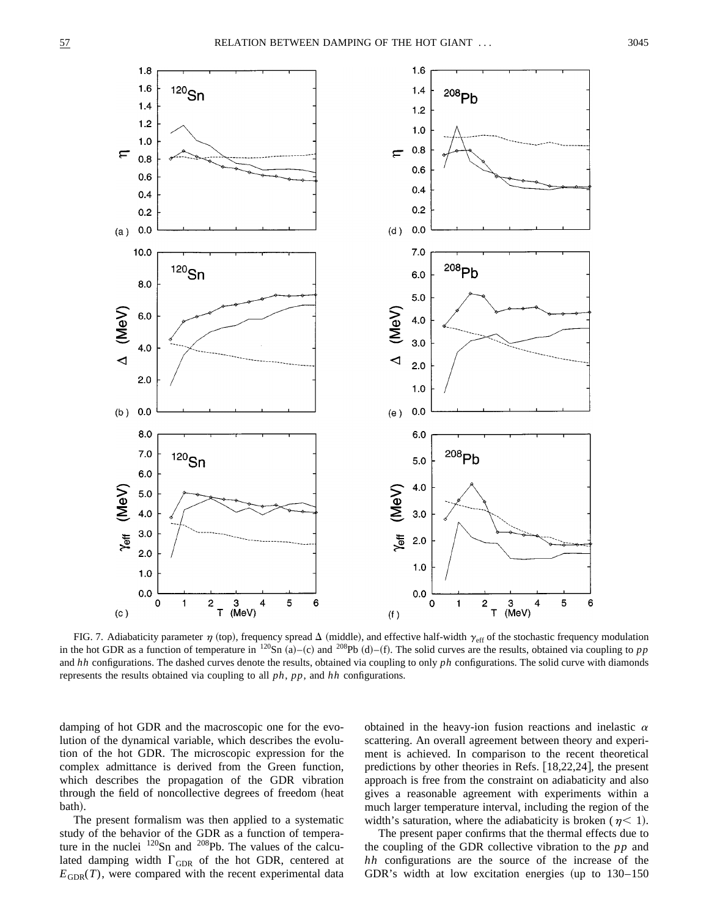

FIG. 7. Adiabaticity parameter  $\eta$  (top), frequency spread  $\Delta$  (middle), and effective half-width  $\gamma_{\text{eff}}$  of the stochastic frequency modulation in the hot GDR as a function of temperature in  $^{120}Sn$  (a)–(c) and  $^{208}Pb$  (d)–(f). The solid curves are the results, obtained via coupling to pp and *hh* configurations. The dashed curves denote the results, obtained via coupling to only *ph* configurations. The solid curve with diamonds represents the results obtained via coupling to all *ph*, *pp*, and *hh* configurations.

damping of hot GDR and the macroscopic one for the evolution of the dynamical variable, which describes the evolution of the hot GDR. The microscopic expression for the complex admittance is derived from the Green function, which describes the propagation of the GDR vibration through the field of noncollective degrees of freedom (heat bath).

The present formalism was then applied to a systematic study of the behavior of the GDR as a function of temperature in the nuclei <sup>120</sup>Sn and <sup>208</sup>Pb. The values of the calculated damping width  $\Gamma_{\text{GDR}}$  of the hot GDR, centered at  $E_{GDR}(T)$ , were compared with the recent experimental data obtained in the heavy-ion fusion reactions and inelastic  $\alpha$ scattering. An overall agreement between theory and experiment is achieved. In comparison to the recent theoretical predictions by other theories in Refs.  $(18,22,24)$ , the present approach is free from the constraint on adiabaticity and also gives a reasonable agreement with experiments within a much larger temperature interval, including the region of the width's saturation, where the adiabaticity is broken ( $\eta$  < 1).

The present paper confirms that the thermal effects due to the coupling of the GDR collective vibration to the *pp* and *hh* configurations are the source of the increase of the GDR's width at low excitation energies (up to  $130-150$ )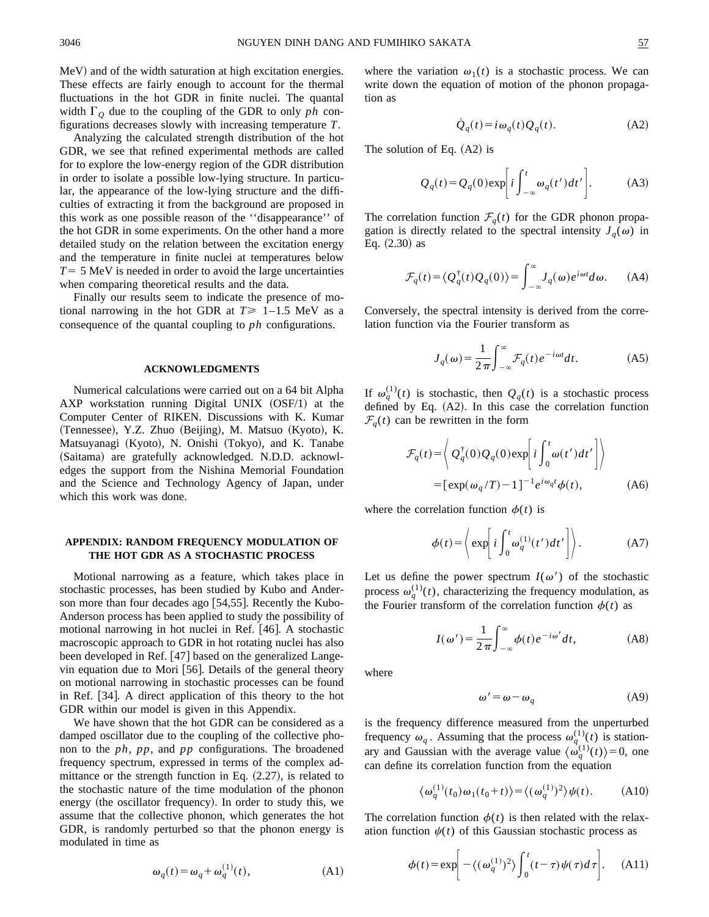MeV) and of the width saturation at high excitation energies. These effects are fairly enough to account for the thermal fluctuations in the hot GDR in finite nuclei. The quantal width  $\Gamma$ <sub>O</sub> due to the coupling of the GDR to only *ph* configurations decreases slowly with increasing temperature *T*.

Analyzing the calculated strength distribution of the hot GDR, we see that refined experimental methods are called for to explore the low-energy region of the GDR distribution in order to isolate a possible low-lying structure. In particular, the appearance of the low-lying structure and the difficulties of extracting it from the background are proposed in this work as one possible reason of the ''disappearance'' of the hot GDR in some experiments. On the other hand a more detailed study on the relation between the excitation energy and the temperature in finite nuclei at temperatures below  $T=5$  MeV is needed in order to avoid the large uncertainties when comparing theoretical results and the data.

Finally our results seem to indicate the presence of motional narrowing in the hot GDR at  $T \geq 1-1.5$  MeV as a consequence of the quantal coupling to *ph* configurations.

#### **ACKNOWLEDGMENTS**

Numerical calculations were carried out on a 64 bit Alpha AXP workstation running Digital UNIX  $(OSF/1)$  at the Computer Center of RIKEN. Discussions with K. Kumar  $(Tennessee), Y.Z. Zhuo (Beijing), M. Matsuo (Kyoto), K.$ Matsuyanagi (Kyoto), N. Onishi (Tokyo), and K. Tanabe (Saitama) are gratefully acknowledged. N.D.D. acknowledges the support from the Nishina Memorial Foundation and the Science and Technology Agency of Japan, under which this work was done.

## **APPENDIX: RANDOM FREQUENCY MODULATION OF THE HOT GDR AS A STOCHASTIC PROCESS**

Motional narrowing as a feature, which takes place in stochastic processes, has been studied by Kubo and Anderson more than four decades ago [54,55]. Recently the Kubo-Anderson process has been applied to study the possibility of motional narrowing in hot nuclei in Ref.  $[46]$ . A stochastic macroscopic approach to GDR in hot rotating nuclei has also been developed in Ref. [47] based on the generalized Langevin equation due to Mori  $[56]$ . Details of the general theory on motional narrowing in stochastic processes can be found in Ref. [34]. A direct application of this theory to the hot GDR within our model is given in this Appendix.

We have shown that the hot GDR can be considered as a damped oscillator due to the coupling of the collective phonon to the *ph*, *pp*, and *pp* configurations. The broadened frequency spectrum, expressed in terms of the complex admittance or the strength function in Eq.  $(2.27)$ , is related to the stochastic nature of the time modulation of the phonon energy (the oscillator frequency). In order to study this, we assume that the collective phonon, which generates the hot GDR, is randomly perturbed so that the phonon energy is modulated in time as

$$
\omega_q(t) = \omega_q + \omega_q^{(1)}(t),\tag{A1}
$$

where the variation  $\omega_1(t)$  is a stochastic process. We can write down the equation of motion of the phonon propagation as

$$
\dot{Q}_q(t) = i\omega_q(t)Q_q(t). \tag{A2}
$$

The solution of Eq.  $(A2)$  is

$$
Q_q(t) = Q_q(0) \exp\left[i \int_{-\infty}^t \omega_q(t') dt'\right].
$$
 (A3)

The correlation function  $\mathcal{F}_q(t)$  for the GDR phonon propagation is directly related to the spectral intensity  $J_q(\omega)$  in Eq.  $(2.30)$  as

$$
\mathcal{F}_q(t) = \langle Q_q^{\dagger}(t) Q_q(0) \rangle = \int_{-\infty}^{\infty} J_q(\omega) e^{i\omega t} d\omega.
$$
 (A4)

Conversely, the spectral intensity is derived from the correlation function via the Fourier transform as

$$
J_q(\omega) = \frac{1}{2\pi} \int_{-\infty}^{\infty} \mathcal{F}_q(t) e^{-i\omega t} dt.
$$
 (A5)

If  $\omega_q^{(1)}(t)$  is stochastic, then  $Q_q(t)$  is a stochastic process defined by Eq.  $(A2)$ . In this case the correlation function  $\mathcal{F}_q(t)$  can be rewritten in the form

$$
\mathcal{F}_q(t) = \left\langle Q_q^{\dagger}(0) Q_q(0) \exp\left[i \int_0^t \omega(t') dt'\right]\right\rangle
$$
  
= 
$$
[\exp(\omega_q/T) - 1]^{-1} e^{i \omega_q t} \phi(t),
$$
 (A6)

where the correlation function  $\phi(t)$  is

$$
\phi(t) = \left\langle \exp\left[i \int_0^t \omega_q^{(1)}(t')dt'\right]\right\rangle. \tag{A7}
$$

Let us define the power spectrum  $I(\omega')$  of the stochastic process  $\omega_q^{(1)}(t)$ , characterizing the frequency modulation, as the Fourier transform of the correlation function  $\phi(t)$  as

$$
I(\omega') = \frac{1}{2\pi} \int_{-\infty}^{\infty} \phi(t) e^{-i\omega'} dt,
$$
 (A8)

where

$$
\omega' = \omega - \omega_q \tag{A9}
$$

is the frequency difference measured from the unperturbed frequency  $\omega_q$ . Assuming that the process  $\omega_q^{(1)}(t)$  is stationary and Gaussian with the average value  $\langle \omega_q^{(1)}(t) \rangle = 0$ , one can define its correlation function from the equation

$$
\langle \omega_q^{(1)}(t_0) \omega_1(t_0 + t) \rangle = \langle (\omega_q^{(1)})^2 \rangle \psi(t). \tag{A10}
$$

The correlation function  $\phi(t)$  is then related with the relaxation function  $\psi(t)$  of this Gaussian stochastic process as

$$
\phi(t) = \exp\bigg[-\langle (\omega_q^{(1)})^2 \rangle \int_0^t (t-\tau) \psi(\tau) d\tau \bigg]. \tag{A11}
$$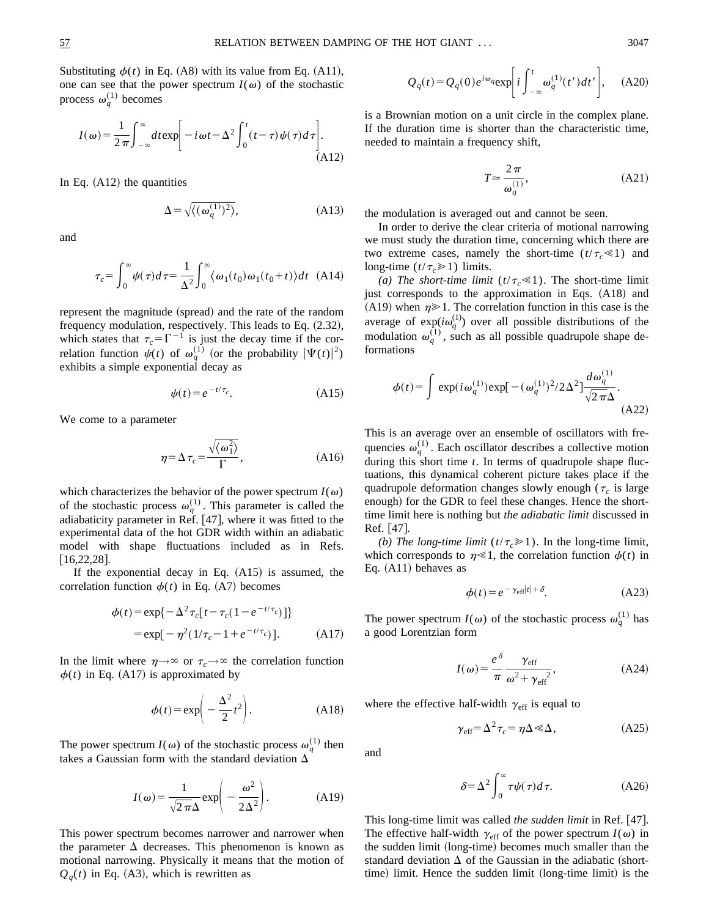Substituting  $\phi(t)$  in Eq. (A8) with its value from Eq. (A11), one can see that the power spectrum  $I(\omega)$  of the stochastic process  $\omega_q^{(1)}$  becomes

$$
I(\omega) = \frac{1}{2\pi} \int_{-\infty}^{\infty} dt \exp\left[-i\omega t - \Delta^2 \int_{0}^{t} (t-\tau)\psi(\tau)d\tau\right].
$$
\n(A12)

In Eq.  $(A12)$  the quantities

$$
\Delta = \sqrt{\langle (\omega_q^{(1)})^2 \rangle}, \tag{A13}
$$

and

$$
\tau_c = \int_0^\infty \psi(\tau) d\tau = \frac{1}{\Delta^2} \int_0^\infty \langle \omega_1(t_0) \omega_1(t_0 + t) \rangle dt \quad (A14)
$$

represent the magnitude (spread) and the rate of the random frequency modulation, respectively. This leads to Eq.  $(2.32)$ , which states that  $\tau_c = \Gamma^{-1}$  is just the decay time if the correlation function  $\psi(t)$  of  $\omega_q^{(1)}$  (or the probability  $|\Psi(t)|^2$ ) exhibits a simple exponential decay as

$$
\psi(t) = e^{-t/\tau_c}.\tag{A15}
$$

We come to a parameter

$$
\eta = \Delta \tau_c = \frac{\sqrt{\langle \omega_1^2 \rangle}}{\Gamma}, \tag{A16}
$$

which characterizes the behavior of the power spectrum  $I(\omega)$ of the stochastic process  $\omega_q^{(1)}$ . This parameter is called the adiabaticity parameter in Ref.  $[47]$ , where it was fitted to the experimental data of the hot GDR width within an adiabatic model with shape fluctuations included as in Refs.  $[16,22,28]$ .

If the exponential decay in Eq.  $(A15)$  is assumed, the correlation function  $\phi(t)$  in Eq. (A7) becomes

$$
\phi(t) = \exp\{-\Delta^2 \tau_c [t - \tau_c (1 - e^{-t/\tau_c})]\}
$$
  
=  $\exp[-\eta^2 (1/\tau_c - 1 + e^{-t/\tau_c})].$  (A17)

In the limit where  $\eta \rightarrow \infty$  or  $\tau_c \rightarrow \infty$  the correlation function  $\phi(t)$  in Eq. (A17) is approximated by

$$
\phi(t) = \exp\left(-\frac{\Delta^2}{2}t^2\right).
$$
 (A18)

The power spectrum  $I(\omega)$  of the stochastic process  $\omega_q^{(1)}$  then takes a Gaussian form with the standard deviation  $\Delta$ 

$$
I(\omega) = \frac{1}{\sqrt{2\pi}\Delta} \exp\left(-\frac{\omega^2}{2\Delta^2}\right).
$$
 (A19)

This power spectrum becomes narrower and narrower when the parameter  $\Delta$  decreases. This phenomenon is known as motional narrowing. Physically it means that the motion of  $Q_q(t)$  in Eq. (A3), which is rewritten as

$$
Q_q(t) = Q_q(0)e^{i\omega_q} \exp\bigg[i\int_{-\infty}^t \omega_q^{(1)}(t')dt'\bigg], \quad \text{(A20)}
$$

is a Brownian motion on a unit circle in the complex plane. If the duration time is shorter than the characteristic time, needed to maintain a frequency shift,

$$
T \simeq \frac{2\,\pi}{\omega_q^{(1)}},\tag{A21}
$$

the modulation is averaged out and cannot be seen.

In order to derive the clear criteria of motional narrowing we must study the duration time, concerning which there are two extreme cases, namely the short-time  $(t/\tau_c \ll 1)$  and long-time  $(t/\tau_c \ge 1)$  limits.

*(a) The short-time limit*  $(t/\tau_c \ll 1)$ . The short-time limit just corresponds to the approximation in Eqs. (A18) and (A19) when  $\eta \geq 1$ . The correlation function in this case is the average of  $exp(i\omega_q^{(1)})$  over all possible distributions of the modulation  $\omega_q^{(1)}$ , such as all possible quadrupole shape deformations

$$
\phi(t) = \int \exp(i\omega_q^{(1)}) \exp[-(\omega_q^{(1)})^2 / 2\Delta^2] \frac{d\omega_q^{(1)}}{\sqrt{2\pi}\Delta}.
$$
\n(A22)

This is an average over an ensemble of oscillators with frequencies  $\omega_q^{(1)}$ . Each oscillator describes a collective motion during this short time *t*. In terms of quadrupole shape fluctuations, this dynamical coherent picture takes place if the quadrupole deformation changes slowly enough ( $\tau_c$  is large enough) for the GDR to feel these changes. Hence the shorttime limit here is nothing but *the adiabatic limit* discussed in  $Ref. |47|.$ 

*(b) The long-time limit*  $(t/\tau_c \ge 1)$ . In the long-time limit, which corresponds to  $\eta \ll 1$ , the correlation function  $\phi(t)$  in Eq.  $(A11)$  behaves as

$$
\phi(t) = e^{-\gamma_{\text{eff}}|t| + \delta}.\tag{A23}
$$

The power spectrum  $I(\omega)$  of the stochastic process  $\omega_q^{(1)}$  has a good Lorentzian form

$$
I(\omega) = \frac{e^{\delta}}{\pi} \frac{\gamma_{\text{eff}}}{\omega^2 + \gamma_{\text{eff}}^2},
$$
 (A24)

where the effective half-width  $\gamma_{\text{eff}}$  is equal to

$$
\gamma_{\rm eff} = \Delta^2 \tau_c = \eta \Delta \ll \Delta, \qquad (A25)
$$

and

$$
\delta = \Delta^2 \int_0^\infty \tau \psi(\tau) d\tau.
$$
 (A26)

This long-time limit was called *the sudden limit* in Ref. [47]. The effective half-width  $\gamma_{\text{eff}}$  of the power spectrum  $I(\omega)$  in the sudden limit (long-time) becomes much smaller than the standard deviation  $\Delta$  of the Gaussian in the adiabatic (shorttime) limit. Hence the sudden limit (long-time limit) is the